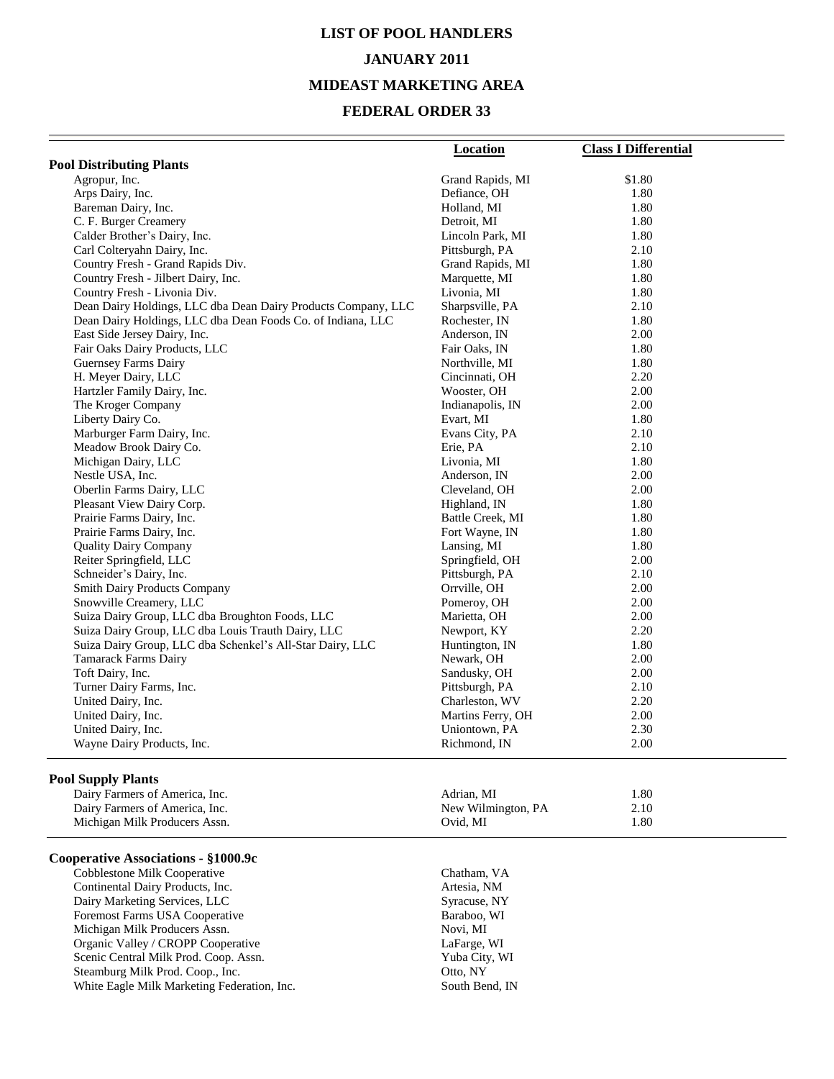# **LIST OF POOL HANDLERS JANUARY 2011 MIDEAST MARKETING AREA**

#### **FEDERAL ORDER 33**

|                                                               | <b>Location</b>    | <b>Class I Differential</b> |
|---------------------------------------------------------------|--------------------|-----------------------------|
| <b>Pool Distributing Plants</b>                               |                    |                             |
| Agropur, Inc.                                                 | Grand Rapids, MI   | \$1.80                      |
| Arps Dairy, Inc.                                              | Defiance, OH       | 1.80                        |
| Bareman Dairy, Inc.                                           | Holland, MI        | 1.80                        |
| C. F. Burger Creamery                                         | Detroit, MI        | 1.80                        |
| Calder Brother's Dairy, Inc.                                  | Lincoln Park, MI   | 1.80                        |
| Carl Colteryahn Dairy, Inc.                                   | Pittsburgh, PA     | 2.10                        |
| Country Fresh - Grand Rapids Div.                             | Grand Rapids, MI   | 1.80                        |
| Country Fresh - Jilbert Dairy, Inc.                           | Marquette, MI      | 1.80                        |
| Country Fresh - Livonia Div.                                  | Livonia, MI        | 1.80                        |
| Dean Dairy Holdings, LLC dba Dean Dairy Products Company, LLC | Sharpsville, PA    | 2.10                        |
| Dean Dairy Holdings, LLC dba Dean Foods Co. of Indiana, LLC   | Rochester, IN      | 1.80                        |
| East Side Jersey Dairy, Inc.                                  | Anderson, IN       | 2.00                        |
| Fair Oaks Dairy Products, LLC                                 | Fair Oaks, IN      | 1.80                        |
| Guernsey Farms Dairy                                          | Northville, MI     | 1.80                        |
| H. Meyer Dairy, LLC                                           | Cincinnati, OH     | 2.20                        |
| Hartzler Family Dairy, Inc.                                   | Wooster, OH        | 2.00                        |
| The Kroger Company                                            | Indianapolis, IN   | 2.00                        |
| Liberty Dairy Co.                                             | Evart, MI          | 1.80                        |
| Marburger Farm Dairy, Inc.                                    | Evans City, PA     | 2.10                        |
| Meadow Brook Dairy Co.                                        | Erie, PA           | 2.10                        |
| Michigan Dairy, LLC                                           | Livonia, MI        | 1.80                        |
| Nestle USA, Inc.                                              | Anderson, IN       | 2.00                        |
| Oberlin Farms Dairy, LLC                                      | Cleveland, OH      | 2.00                        |
| Pleasant View Dairy Corp.                                     | Highland, IN       | 1.80                        |
| Prairie Farms Dairy, Inc.                                     | Battle Creek, MI   | 1.80                        |
| Prairie Farms Dairy, Inc.                                     | Fort Wayne, IN     | 1.80                        |
| <b>Quality Dairy Company</b>                                  | Lansing, MI        | 1.80                        |
| Reiter Springfield, LLC                                       | Springfield, OH    | 2.00                        |
| Schneider's Dairy, Inc.                                       | Pittsburgh, PA     | 2.10                        |
| <b>Smith Dairy Products Company</b>                           | Orrville, OH       | 2.00                        |
| Snowville Creamery, LLC                                       | Pomeroy, OH        | 2.00                        |
| Suiza Dairy Group, LLC dba Broughton Foods, LLC               | Marietta, OH       | 2.00                        |
| Suiza Dairy Group, LLC dba Louis Trauth Dairy, LLC            | Newport, KY        | 2.20                        |
| Suiza Dairy Group, LLC dba Schenkel's All-Star Dairy, LLC     | Huntington, IN     | 1.80                        |
| <b>Tamarack Farms Dairy</b>                                   | Newark, OH         | 2.00                        |
| Toft Dairy, Inc.                                              | Sandusky, OH       | 2.00                        |
| Turner Dairy Farms, Inc.                                      | Pittsburgh, PA     | 2.10                        |
| United Dairy, Inc.                                            | Charleston, WV     | 2.20                        |
| United Dairy, Inc.                                            | Martins Ferry, OH  | 2.00                        |
| United Dairy, Inc.                                            | Uniontown, PA      | 2.30                        |
| Wayne Dairy Products, Inc.                                    | Richmond, IN       | 2.00                        |
| <b>Pool Supply Plants</b>                                     |                    |                             |
| Dairy Farmers of America, Inc.                                | Adrian, MI         | 1.80                        |
| Dairy Farmers of America, Inc.                                | New Wilmington, PA | 2.10                        |
| Michigan Milk Producers Assn.                                 | Ovid, MI           | 1.80                        |
|                                                               |                    |                             |

#### **Cooperative Associations - §1000.9c**

Cobblestone Milk Cooperative Chatham, VA<br>
Continental Dairy Products, Inc.<br>
Artesia, NM Continental Dairy Products, Inc.<br>
Dairy Marketing Services, LLC<br>
Syracuse, NY Dairy Marketing Services, LLC<br>
Foremost Farms USA Cooperative Baraboo, WI Foremost Farms USA Cooperative Baraboo, Baraboo, Nichigan Milk Producers Assn. Novi, MI Michigan Milk Producers Assn.<br>
Organic Valley / CROPP Cooperative LaFarge, WI Organic Valley / CROPP Cooperative Scenic Central Milk Prod. Coop. Assn. Yuba City, WI Steamburg Milk Prod. Coop., Inc. Coop. 2016, NY White Eagle Milk Marketing Federation, Inc. South Bend, IN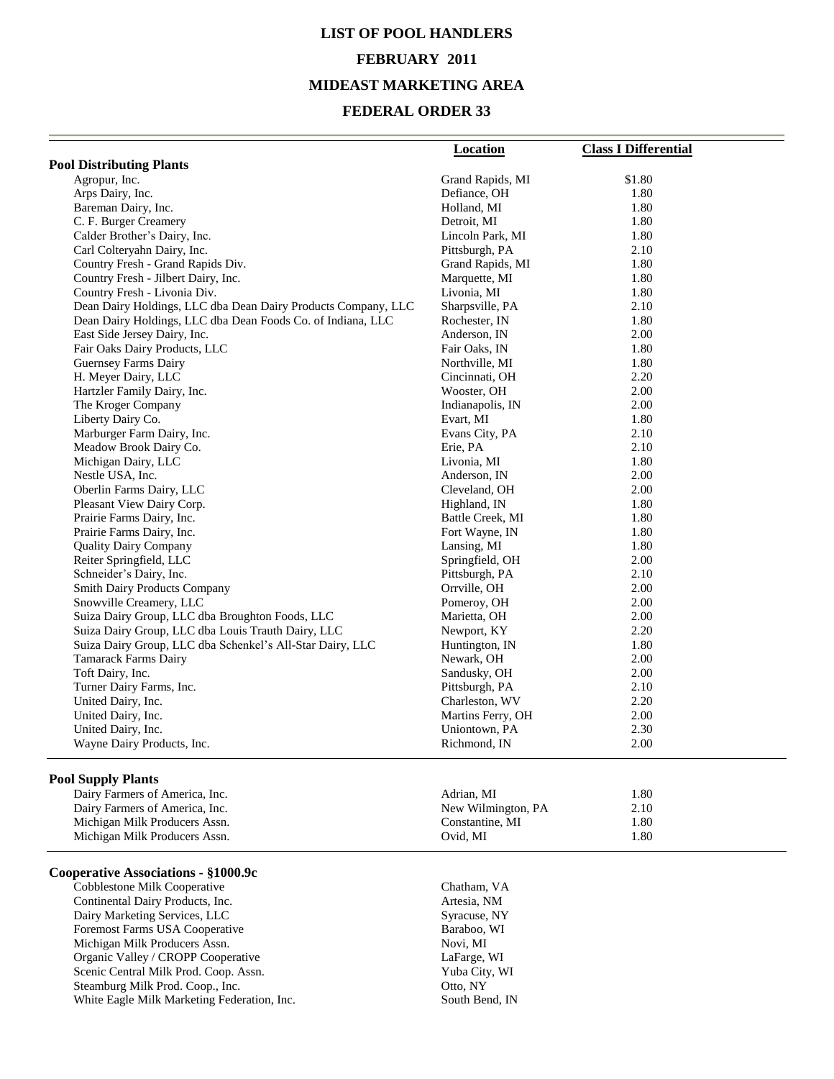# **LIST OF POOL HANDLERS FEBRUARY 2011 MIDEAST MARKETING AREA**

#### **FEDERAL ORDER 33**

|                                                               | <b>Location</b>    | <b>Class I Differential</b> |
|---------------------------------------------------------------|--------------------|-----------------------------|
| <b>Pool Distributing Plants</b>                               |                    |                             |
| Agropur, Inc.                                                 | Grand Rapids, MI   | \$1.80                      |
| Arps Dairy, Inc.                                              | Defiance, OH       | 1.80                        |
| Bareman Dairy, Inc.                                           | Holland, MI        | 1.80                        |
| C. F. Burger Creamery                                         | Detroit, MI        | 1.80                        |
| Calder Brother's Dairy, Inc.                                  | Lincoln Park, MI   | 1.80                        |
| Carl Colteryahn Dairy, Inc.                                   | Pittsburgh, PA     | 2.10                        |
| Country Fresh - Grand Rapids Div.                             | Grand Rapids, MI   | 1.80                        |
| Country Fresh - Jilbert Dairy, Inc.                           | Marquette, MI      | 1.80                        |
| Country Fresh - Livonia Div.                                  | Livonia, MI        | 1.80                        |
| Dean Dairy Holdings, LLC dba Dean Dairy Products Company, LLC | Sharpsville, PA    | 2.10                        |
| Dean Dairy Holdings, LLC dba Dean Foods Co. of Indiana, LLC   | Rochester, IN      | 1.80                        |
| East Side Jersey Dairy, Inc.                                  | Anderson, IN       | 2.00                        |
| Fair Oaks Dairy Products, LLC                                 | Fair Oaks, IN      | 1.80                        |
| Guernsey Farms Dairy                                          | Northville, MI     | 1.80                        |
| H. Meyer Dairy, LLC                                           | Cincinnati, OH     | 2.20                        |
| Hartzler Family Dairy, Inc.                                   | Wooster, OH        | 2.00                        |
| The Kroger Company                                            | Indianapolis, IN   | 2.00                        |
| Liberty Dairy Co.                                             | Evart, MI          | 1.80                        |
| Marburger Farm Dairy, Inc.                                    | Evans City, PA     | 2.10                        |
| Meadow Brook Dairy Co.                                        | Erie, PA           | 2.10                        |
| Michigan Dairy, LLC                                           | Livonia, MI        | 1.80                        |
| Nestle USA, Inc.                                              | Anderson, IN       | 2.00                        |
| Oberlin Farms Dairy, LLC                                      | Cleveland, OH      | 2.00                        |
| Pleasant View Dairy Corp.                                     | Highland, IN       | 1.80                        |
| Prairie Farms Dairy, Inc.                                     | Battle Creek, MI   | 1.80                        |
| Prairie Farms Dairy, Inc.                                     | Fort Wayne, IN     | 1.80                        |
| <b>Quality Dairy Company</b>                                  | Lansing, MI        | 1.80                        |
| Reiter Springfield, LLC                                       | Springfield, OH    | 2.00                        |
| Schneider's Dairy, Inc.                                       | Pittsburgh, PA     | 2.10                        |
| <b>Smith Dairy Products Company</b>                           | Orrville, OH       | 2.00                        |
| Snowville Creamery, LLC                                       | Pomeroy, OH        | 2.00                        |
| Suiza Dairy Group, LLC dba Broughton Foods, LLC               | Marietta, OH       | 2.00                        |
| Suiza Dairy Group, LLC dba Louis Trauth Dairy, LLC            | Newport, KY        | 2.20                        |
| Suiza Dairy Group, LLC dba Schenkel's All-Star Dairy, LLC     | Huntington, IN     | 1.80                        |
| <b>Tamarack Farms Dairy</b>                                   | Newark, OH         | 2.00                        |
| Toft Dairy, Inc.                                              | Sandusky, OH       | 2.00                        |
| Turner Dairy Farms, Inc.                                      | Pittsburgh, PA     | 2.10                        |
| United Dairy, Inc.                                            | Charleston, WV     | 2.20                        |
| United Dairy, Inc.                                            | Martins Ferry, OH  | 2.00                        |
| United Dairy, Inc.                                            | Uniontown, PA      | 2.30                        |
| Wayne Dairy Products, Inc.                                    | Richmond, IN       | 2.00                        |
|                                                               |                    |                             |
| <b>Pool Supply Plants</b><br>Dairy Farmers of America, Inc.   |                    |                             |
|                                                               | Adrian, MI         | 1.80                        |
| Dairy Farmers of America, Inc.                                | New Wilmington, PA | 2.10                        |
| Michigan Milk Producers Assn.                                 | Constantine, MI    | 1.80                        |
| Michigan Milk Producers Assn.                                 | Ovid, MI           | 1.80                        |
| Cooperative Associations - §1000.9c                           |                    |                             |
| Cobblestone Milk Cooperative                                  | Chatham, VA        |                             |
| Continental Dairy Products, Inc.                              | Artesia, NM        |                             |
| Dairy Marketing Services, LLC                                 | Syracuse, NY       |                             |
| Eoremost Farms IISA Cooperative                               | Barahoo WI         |                             |

Foremost Farms USA Cooperative and the control of the Baraboo, WI<br>
Michigan Milk Producers Assn. Show and the Baraboo, WI Michigan Milk Producers Assn. Organic Valley / CROPP Cooperative LaFarge, WI Scenic Central Milk Prod. Coop. Assn. Yuba City, Yuba City, Steamburg Milk Prod. Coop., Inc. 0tto, NY Steamburg Milk Prod. Coop., Inc. 6. Otto, NY<br>
White Eagle Milk Marketing Federation, Inc. 6. South Bend, IN White Eagle Milk Marketing Federation, Inc.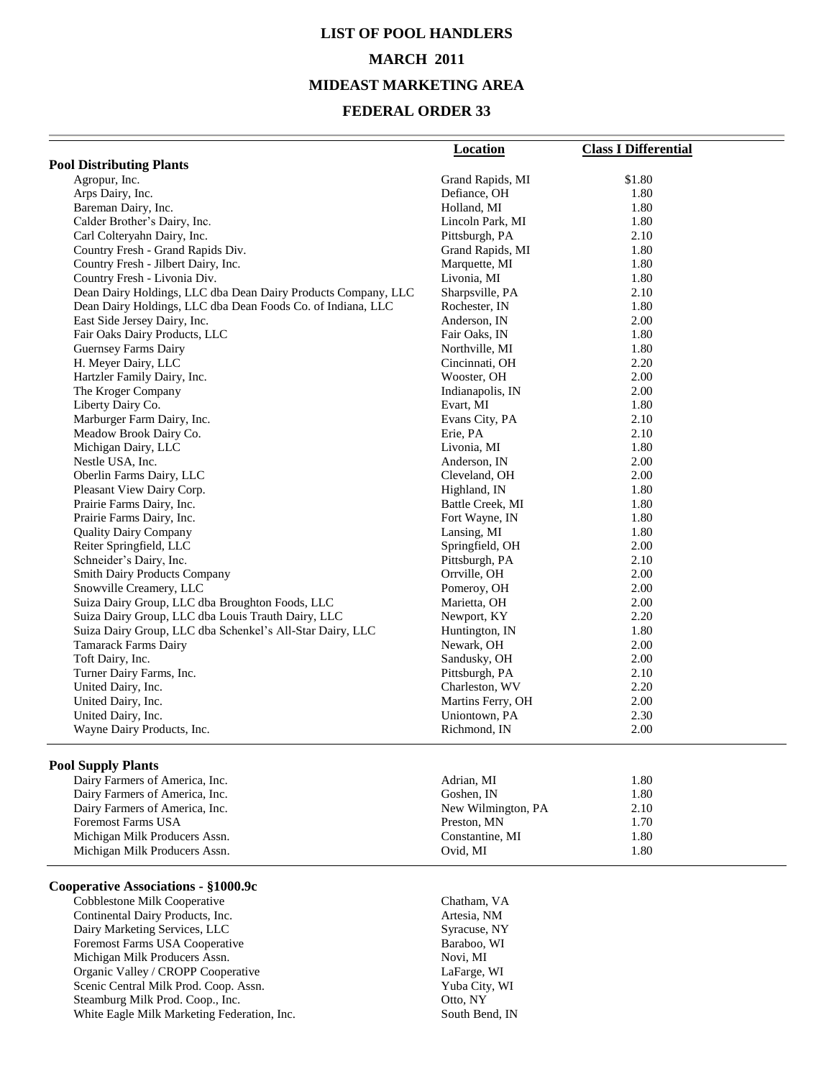## **LIST OF POOL HANDLERS MARCH 2011 MIDEAST MARKETING AREA**

#### **FEDERAL ORDER 33**

|                                                               | Location          | <b>Class I Differential</b> |
|---------------------------------------------------------------|-------------------|-----------------------------|
| <b>Pool Distributing Plants</b>                               |                   |                             |
| Agropur, Inc.                                                 | Grand Rapids, MI  | \$1.80                      |
| Arps Dairy, Inc.                                              | Defiance, OH      | 1.80                        |
| Bareman Dairy, Inc.                                           | Holland, MI       | 1.80                        |
| Calder Brother's Dairy, Inc.                                  | Lincoln Park, MI  | 1.80                        |
| Carl Colteryahn Dairy, Inc.                                   | Pittsburgh, PA    | 2.10                        |
| Country Fresh - Grand Rapids Div.                             | Grand Rapids, MI  | 1.80                        |
| Country Fresh - Jilbert Dairy, Inc.                           | Marquette, MI     | 1.80                        |
| Country Fresh - Livonia Div.                                  | Livonia, MI       | 1.80                        |
| Dean Dairy Holdings, LLC dba Dean Dairy Products Company, LLC | Sharpsville, PA   | 2.10                        |
| Dean Dairy Holdings, LLC dba Dean Foods Co. of Indiana, LLC   | Rochester, IN     | 1.80                        |
| East Side Jersey Dairy, Inc.                                  | Anderson, IN      | 2.00                        |
| Fair Oaks Dairy Products, LLC                                 | Fair Oaks, IN     | 1.80                        |
| <b>Guernsey Farms Dairy</b>                                   | Northville, MI    | 1.80                        |
| H. Meyer Dairy, LLC                                           | Cincinnati, OH    | 2.20                        |
| Hartzler Family Dairy, Inc.                                   | Wooster, OH       | 2.00                        |
| The Kroger Company                                            | Indianapolis, IN  | 2.00                        |
| Liberty Dairy Co.                                             | Evart, MI         | 1.80                        |
| Marburger Farm Dairy, Inc.                                    | Evans City, PA    | 2.10                        |
| Meadow Brook Dairy Co.                                        | Erie, PA          | 2.10                        |
| Michigan Dairy, LLC                                           | Livonia, MI       | 1.80                        |
| Nestle USA, Inc.                                              | Anderson, IN      | 2.00                        |
| Oberlin Farms Dairy, LLC                                      | Cleveland, OH     | 2.00                        |
| Pleasant View Dairy Corp.                                     | Highland, IN      | 1.80                        |
| Prairie Farms Dairy, Inc.                                     | Battle Creek, MI  | 1.80                        |
| Prairie Farms Dairy, Inc.                                     | Fort Wayne, IN    | 1.80                        |
| <b>Quality Dairy Company</b>                                  | Lansing, MI       | 1.80                        |
| Reiter Springfield, LLC                                       | Springfield, OH   | 2.00                        |
| Schneider's Dairy, Inc.                                       | Pittsburgh, PA    | 2.10                        |
| <b>Smith Dairy Products Company</b>                           | Orrville, OH      | 2.00                        |
| Snowville Creamery, LLC                                       | Pomeroy, OH       | 2.00                        |
| Suiza Dairy Group, LLC dba Broughton Foods, LLC               | Marietta, OH      | 2.00                        |
| Suiza Dairy Group, LLC dba Louis Trauth Dairy, LLC            | Newport, KY       | 2.20                        |
| Suiza Dairy Group, LLC dba Schenkel's All-Star Dairy, LLC     | Huntington, IN    | 1.80                        |
| <b>Tamarack Farms Dairy</b>                                   | Newark, OH        | 2.00                        |
| Toft Dairy, Inc.                                              | Sandusky, OH      | 2.00                        |
| Turner Dairy Farms, Inc.                                      | Pittsburgh, PA    | 2.10                        |
| United Dairy, Inc.                                            | Charleston, WV    | 2.20                        |
| United Dairy, Inc.                                            | Martins Ferry, OH | 2.00                        |
| United Dairy, Inc.                                            | Uniontown, PA     | 2.30                        |
| Wayne Dairy Products, Inc.                                    | Richmond, IN      | 2.00                        |

#### **Pool Supply Plants**

| Dairy Farmers of America, Inc. | Adrian, MI         | 1.80 |
|--------------------------------|--------------------|------|
| Dairy Farmers of America, Inc. | Goshen. IN         | 1.80 |
| Dairy Farmers of America, Inc. | New Wilmington, PA | 2.10 |
| <b>Foremost Farms USA</b>      | Preston, MN        | 1.70 |
| Michigan Milk Producers Assn.  | Constantine, MI    | 1.80 |
| Michigan Milk Producers Assn.  | Ovid. MI           | 1.80 |
|                                |                    |      |

#### **Cooperative Associations - §1000.9c**

Cobblestone Milk Cooperative Chatham, VA<br>
Continental Dairy Products, Inc. Artesia, NM Continental Dairy Products, Inc.<br>
Dairy Marketing Services, LLC<br>
Syracuse, NY Dairy Marketing Services, LLC<br>
Foremost Farms USA Cooperative<br>
Baraboo, WI Foremost Farms USA Cooperative Michigan Milk Producers Assn. Novi, MI Organic Valley / CROPP Cooperative LaFarge, WI Scenic Central Milk Prod. Coop. Assn. Yuba City, WI Steamburg Milk Prod. Coop., Inc. Coop., Communication of the Coop., Otto, NY White Eagle Milk Marketing Federation, Inc. South Bend, IN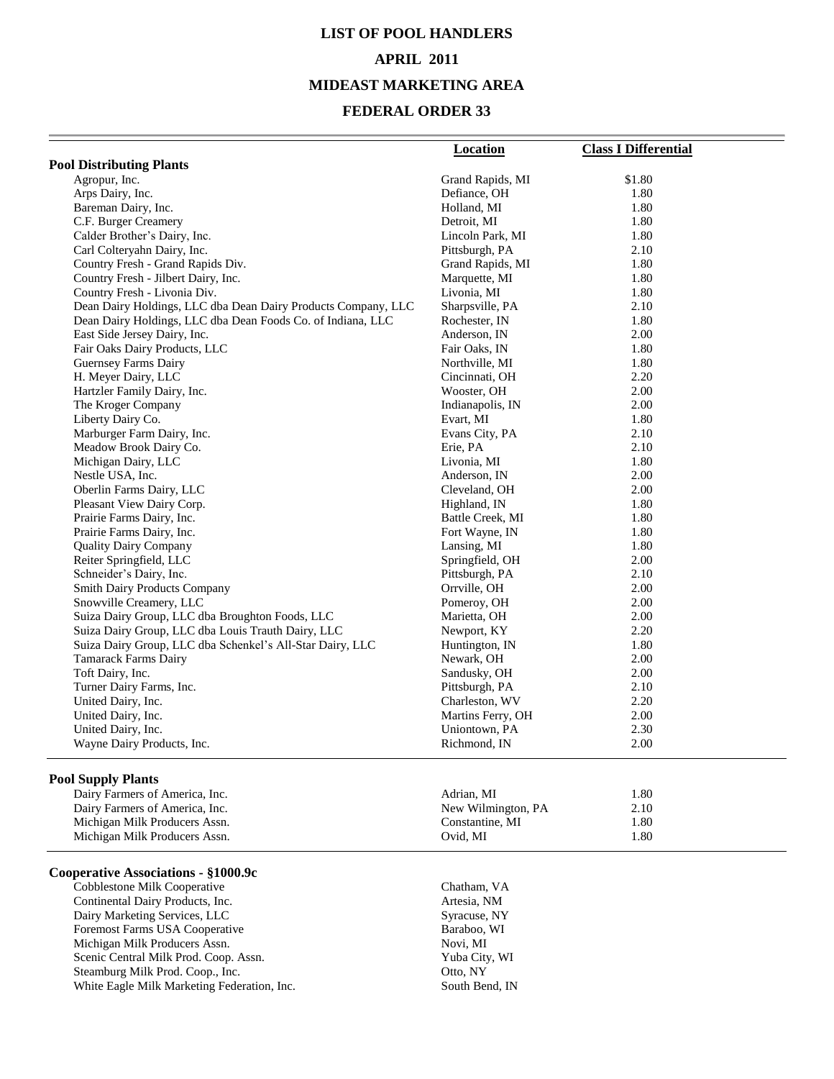## **LIST OF POOL HANDLERS APRIL 2011 MIDEAST MARKETING AREA**

#### **FEDERAL ORDER 33**

|                                                                                          | Location                     | <b>Class I Differential</b> |
|------------------------------------------------------------------------------------------|------------------------------|-----------------------------|
| <b>Pool Distributing Plants</b>                                                          |                              |                             |
| Agropur, Inc.                                                                            | Grand Rapids, MI             | \$1.80                      |
| Arps Dairy, Inc.                                                                         | Defiance, OH                 | 1.80                        |
| Bareman Dairy, Inc.                                                                      | Holland, MI                  | 1.80                        |
| C.F. Burger Creamery                                                                     | Detroit, MI                  | 1.80                        |
| Calder Brother's Dairy, Inc.                                                             | Lincoln Park, MI             | 1.80                        |
| Carl Colteryahn Dairy, Inc.                                                              | Pittsburgh, PA               | 2.10                        |
| Country Fresh - Grand Rapids Div.                                                        | Grand Rapids, MI             | 1.80                        |
| Country Fresh - Jilbert Dairy, Inc.                                                      | Marquette, MI                | 1.80                        |
| Country Fresh - Livonia Div.                                                             | Livonia, MI                  | 1.80                        |
| Dean Dairy Holdings, LLC dba Dean Dairy Products Company, LLC                            | Sharpsville, PA              | 2.10                        |
| Dean Dairy Holdings, LLC dba Dean Foods Co. of Indiana, LLC                              | Rochester, IN                | 1.80                        |
| East Side Jersey Dairy, Inc.                                                             | Anderson, IN                 | 2.00                        |
| Fair Oaks Dairy Products, LLC                                                            | Fair Oaks, IN                | 1.80                        |
| Guernsey Farms Dairy                                                                     | Northville, MI               | 1.80                        |
| H. Meyer Dairy, LLC                                                                      | Cincinnati, OH               | 2.20                        |
| Hartzler Family Dairy, Inc.                                                              | Wooster, OH                  | 2.00                        |
| The Kroger Company                                                                       | Indianapolis, IN             | 2.00                        |
| Liberty Dairy Co.                                                                        | Evart, MI                    | 1.80                        |
| Marburger Farm Dairy, Inc.                                                               | Evans City, PA               | 2.10                        |
| Meadow Brook Dairy Co.                                                                   | Erie, PA                     | 2.10                        |
| Michigan Dairy, LLC                                                                      | Livonia, MI                  | 1.80                        |
| Nestle USA, Inc.                                                                         | Anderson, IN                 | 2.00                        |
| Oberlin Farms Dairy, LLC                                                                 | Cleveland, OH                | 2.00                        |
| Pleasant View Dairy Corp.                                                                | Highland, IN                 | 1.80                        |
| Prairie Farms Dairy, Inc.                                                                | Battle Creek, MI             | 1.80                        |
| Prairie Farms Dairy, Inc.                                                                | Fort Wayne, IN               | 1.80                        |
| <b>Quality Dairy Company</b>                                                             | Lansing, MI                  | 1.80                        |
| Reiter Springfield, LLC                                                                  | Springfield, OH              | 2.00                        |
| Schneider's Dairy, Inc.                                                                  | Pittsburgh, PA               | 2.10                        |
| <b>Smith Dairy Products Company</b>                                                      | Orrville, OH                 | 2.00                        |
| Snowville Creamery, LLC                                                                  | Pomeroy, OH                  | 2.00                        |
| Suiza Dairy Group, LLC dba Broughton Foods, LLC                                          | Marietta, OH                 | 2.00                        |
| Suiza Dairy Group, LLC dba Louis Trauth Dairy, LLC                                       | Newport, KY                  | 2.20                        |
| Suiza Dairy Group, LLC dba Schenkel's All-Star Dairy, LLC<br><b>Tamarack Farms Dairy</b> | Huntington, IN<br>Newark, OH | 1.80<br>2.00                |
| Toft Dairy, Inc.                                                                         | Sandusky, OH                 | 2.00                        |
| Turner Dairy Farms, Inc.                                                                 | Pittsburgh, PA               | 2.10                        |
| United Dairy, Inc.                                                                       | Charleston, WV               | 2.20                        |
| United Dairy, Inc.                                                                       | Martins Ferry, OH            | 2.00                        |
| United Dairy, Inc.                                                                       | Uniontown, PA                | 2.30                        |
| Wayne Dairy Products, Inc.                                                               | Richmond, IN                 | 2.00                        |
|                                                                                          |                              |                             |
| <b>Pool Supply Plants</b>                                                                |                              |                             |
| Dairy Farmers of America, Inc.                                                           | Adrian, MI                   | 1.80                        |
| Dairy Farmers of America, Inc.                                                           | New Wilmington, PA           | 2.10                        |
| Michigan Milk Producers Assn.                                                            | Constantine, MI              | 1.80                        |
| Michigan Milk Producers Assn.                                                            | Ovid, MI                     | 1.80                        |
| Cooperative Associations - §1000.9c                                                      |                              |                             |
| Cobblestone Milk Cooperative                                                             | Chatham, VA                  |                             |
| Continental Dairy Products, Inc.                                                         | Artesia, NM                  |                             |

Dairy Marketing Services, LLC<br>
Foremost Farms USA Cooperative The Syracuse, NY<br>
Baraboo, WI Foremost Farms USA Cooperative Baraboo, Baraboo, Nichigan Milk Producers Assn. Novi, MI Michigan Milk Producers Assn. Scenic Central Milk Prod. Coop. Assn. Yuba City, WI Steamburg Milk Prod. Coop., Inc. 0tto, NY White Eagle Milk Marketing Federation, Inc. South Bend, IN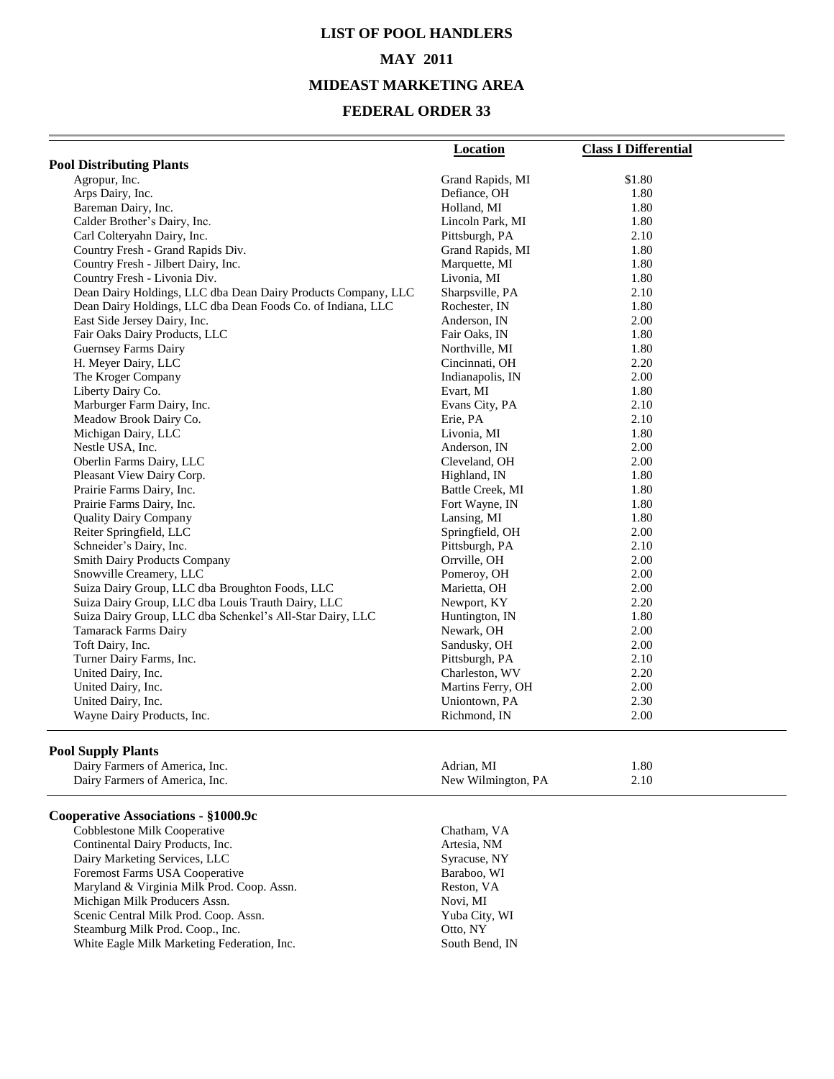## **LIST OF POOL HANDLERS MAY 2011 MIDEAST MARKETING AREA**

#### **FEDERAL ORDER 33**

|                                                               | <b>Location</b>   | <b>Class I Differential</b> |
|---------------------------------------------------------------|-------------------|-----------------------------|
| <b>Pool Distributing Plants</b>                               |                   |                             |
| Agropur, Inc.                                                 | Grand Rapids, MI  | \$1.80                      |
| Arps Dairy, Inc.                                              | Defiance, OH      | 1.80                        |
| Bareman Dairy, Inc.                                           | Holland, MI       | 1.80                        |
| Calder Brother's Dairy, Inc.                                  | Lincoln Park, MI  | 1.80                        |
| Carl Colteryahn Dairy, Inc.                                   | Pittsburgh, PA    | 2.10                        |
| Country Fresh - Grand Rapids Div.                             | Grand Rapids, MI  | 1.80                        |
| Country Fresh - Jilbert Dairy, Inc.                           | Marquette, MI     | 1.80                        |
| Country Fresh - Livonia Div.                                  | Livonia, MI       | 1.80                        |
| Dean Dairy Holdings, LLC dba Dean Dairy Products Company, LLC | Sharpsville, PA   | 2.10                        |
| Dean Dairy Holdings, LLC dba Dean Foods Co. of Indiana, LLC   | Rochester, IN     | 1.80                        |
| East Side Jersey Dairy, Inc.                                  | Anderson, IN      | 2.00                        |
| Fair Oaks Dairy Products, LLC                                 | Fair Oaks, IN     | 1.80                        |
| Guernsey Farms Dairy                                          | Northville, MI    | 1.80                        |
| H. Meyer Dairy, LLC                                           | Cincinnati, OH    | 2.20                        |
| The Kroger Company                                            | Indianapolis, IN  | 2.00                        |
| Liberty Dairy Co.                                             | Evart, MI         | 1.80                        |
| Marburger Farm Dairy, Inc.                                    | Evans City, PA    | 2.10                        |
| Meadow Brook Dairy Co.                                        | Erie, PA          | 2.10                        |
| Michigan Dairy, LLC                                           | Livonia, MI       | 1.80                        |
| Nestle USA, Inc.                                              | Anderson, IN      | 2.00                        |
| Oberlin Farms Dairy, LLC                                      | Cleveland, OH     | 2.00                        |
| Pleasant View Dairy Corp.                                     | Highland, IN      | 1.80                        |
| Prairie Farms Dairy, Inc.                                     | Battle Creek, MI  | 1.80                        |
| Prairie Farms Dairy, Inc.                                     | Fort Wayne, IN    | 1.80                        |
| <b>Quality Dairy Company</b>                                  | Lansing, MI       | 1.80                        |
| Reiter Springfield, LLC                                       | Springfield, OH   | 2.00                        |
| Schneider's Dairy, Inc.                                       | Pittsburgh, PA    | 2.10                        |
| Smith Dairy Products Company                                  | Orrville, OH      | 2.00                        |
| Snowville Creamery, LLC                                       | Pomeroy, OH       | 2.00                        |
| Suiza Dairy Group, LLC dba Broughton Foods, LLC               | Marietta, OH      | 2.00                        |
| Suiza Dairy Group, LLC dba Louis Trauth Dairy, LLC            | Newport, KY       | 2.20                        |
| Suiza Dairy Group, LLC dba Schenkel's All-Star Dairy, LLC     | Huntington, IN    | 1.80                        |
| <b>Tamarack Farms Dairy</b>                                   | Newark, OH        | 2.00                        |
| Toft Dairy, Inc.                                              | Sandusky, OH      | 2.00                        |
| Turner Dairy Farms, Inc.                                      | Pittsburgh, PA    | 2.10                        |
| United Dairy, Inc.                                            | Charleston, WV    | 2.20                        |
| United Dairy, Inc.                                            | Martins Ferry, OH | 2.00                        |
| United Dairy, Inc.                                            | Uniontown, PA     | 2.30                        |
| Wayne Dairy Products, Inc.                                    | Richmond, IN      | 2.00                        |
| <b>Pool Supply Plants</b>                                     |                   |                             |
| Dairy Farmers of America, Inc.                                | Adrian, MI        | 1.80                        |

Dairy Farmers of America, Inc.

#### **Cooperative Associations - §1000.9c**

Cobblestone Milk Cooperative Chatham, VA Continental Dairy Products, Inc. Artesia, NM Dairy Marketing Services, LLC<br>
Foremost Farms USA Cooperative<br>
Baraboo, WI Foremost Farms USA Cooperative Baraboo, W. Naryland & Virginia Milk Prod. Coop. Assn. Reston, VA Maryland & Virginia Milk Prod. Coop. Assn. <br>
Michigan Milk Producers Assn. <br>
Novi, MI Michigan Milk Producers Assn.<br>
Scenic Central Milk Prod. Coop. Assn.<br>
Yuba City, WI Scenic Central Milk Prod. Coop. Assn. Yuba City, Yuba City, Steamburg Milk Prod. Coop., Inc. Otto, NY Steamburg Milk Prod. Coop., Inc. 6. Otto, NY<br>
White Eagle Milk Marketing Federation, Inc. 6. South Bend, IN White Eagle Milk Marketing Federation, Inc.

| Adrian, MI         | 1.80 |
|--------------------|------|
| New Wilmington, PA | 2.10 |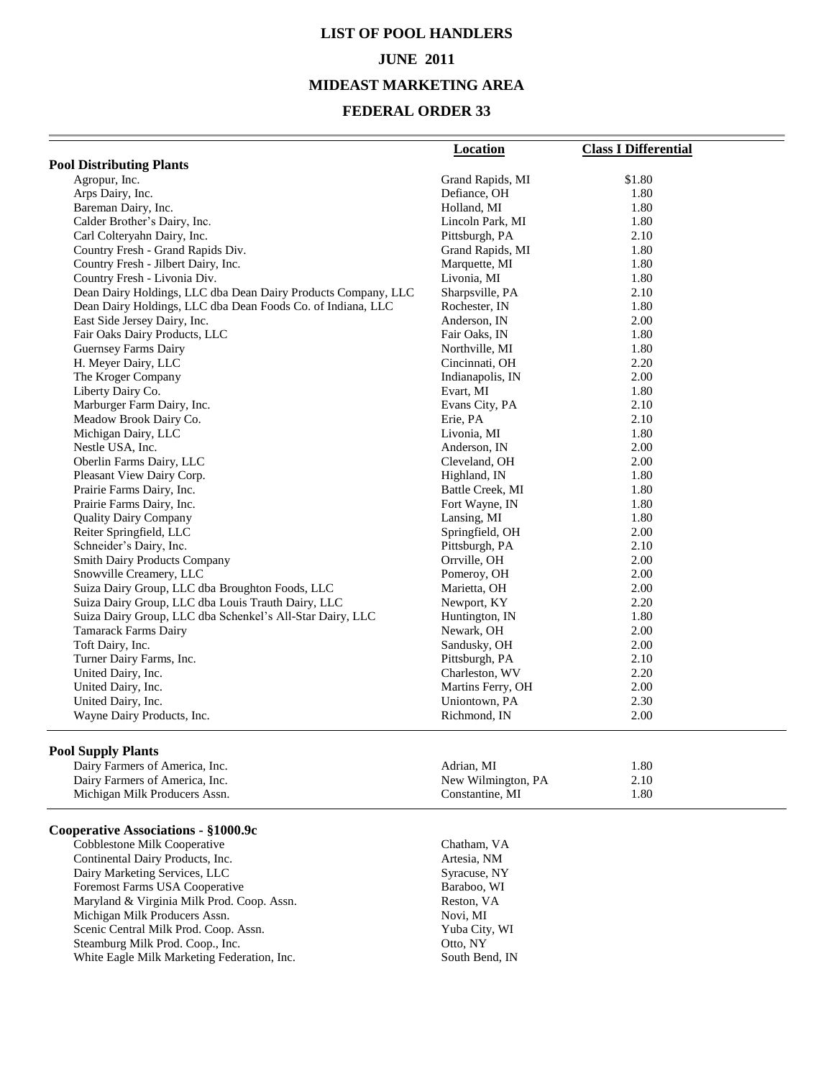### **LIST OF POOL HANDLERS JUNE 2011**

#### **MIDEAST MARKETING AREA**

#### **FEDERAL ORDER 33**

|                                                               | Location          | <b>Class I Differential</b> |
|---------------------------------------------------------------|-------------------|-----------------------------|
| <b>Pool Distributing Plants</b>                               |                   |                             |
| Agropur, Inc.                                                 | Grand Rapids, MI  | \$1.80                      |
| Arps Dairy, Inc.                                              | Defiance, OH      | 1.80                        |
| Bareman Dairy, Inc.                                           | Holland, MI       | 1.80                        |
| Calder Brother's Dairy, Inc.                                  | Lincoln Park, MI  | 1.80                        |
| Carl Colteryahn Dairy, Inc.                                   | Pittsburgh, PA    | 2.10                        |
| Country Fresh - Grand Rapids Div.                             | Grand Rapids, MI  | 1.80                        |
| Country Fresh - Jilbert Dairy, Inc.                           | Marquette, MI     | 1.80                        |
| Country Fresh - Livonia Div.                                  | Livonia, MI       | 1.80                        |
| Dean Dairy Holdings, LLC dba Dean Dairy Products Company, LLC | Sharpsville, PA   | 2.10                        |
| Dean Dairy Holdings, LLC dba Dean Foods Co. of Indiana, LLC   | Rochester, IN     | 1.80                        |
| East Side Jersey Dairy, Inc.                                  | Anderson, IN      | 2.00                        |
| Fair Oaks Dairy Products, LLC                                 | Fair Oaks, IN     | 1.80                        |
| Guernsey Farms Dairy                                          | Northville, MI    | 1.80                        |
| H. Meyer Dairy, LLC                                           | Cincinnati, OH    | 2.20                        |
| The Kroger Company                                            | Indianapolis, IN  | 2.00                        |
| Liberty Dairy Co.                                             | Evart, MI         | 1.80                        |
| Marburger Farm Dairy, Inc.                                    | Evans City, PA    | 2.10                        |
| Meadow Brook Dairy Co.                                        | Erie, PA          | 2.10                        |
| Michigan Dairy, LLC                                           | Livonia, MI       | 1.80                        |
| Nestle USA, Inc.                                              | Anderson, IN      | 2.00                        |
| Oberlin Farms Dairy, LLC                                      | Cleveland, OH     | 2.00                        |
| Pleasant View Dairy Corp.                                     | Highland, IN      | 1.80                        |
| Prairie Farms Dairy, Inc.                                     | Battle Creek, MI  | 1.80                        |
| Prairie Farms Dairy, Inc.                                     | Fort Wayne, IN    | 1.80                        |
| <b>Quality Dairy Company</b>                                  | Lansing, MI       | 1.80                        |
| Reiter Springfield, LLC                                       | Springfield, OH   | 2.00                        |
| Schneider's Dairy, Inc.                                       | Pittsburgh, PA    | 2.10                        |
| Smith Dairy Products Company                                  | Orrville, OH      | 2.00                        |
| Snowville Creamery, LLC                                       | Pomeroy, OH       | 2.00                        |
| Suiza Dairy Group, LLC dba Broughton Foods, LLC               | Marietta, OH      | 2.00                        |
| Suiza Dairy Group, LLC dba Louis Trauth Dairy, LLC            | Newport, KY       | 2.20                        |
| Suiza Dairy Group, LLC dba Schenkel's All-Star Dairy, LLC     | Huntington, IN    | 1.80                        |
| <b>Tamarack Farms Dairy</b>                                   | Newark, OH        | 2.00                        |
| Toft Dairy, Inc.                                              | Sandusky, OH      | 2.00                        |
| Turner Dairy Farms, Inc.                                      | Pittsburgh, PA    | 2.10                        |
| United Dairy, Inc.                                            | Charleston, WV    | 2.20                        |
| United Dairy, Inc.                                            | Martins Ferry, OH | 2.00                        |
| United Dairy, Inc.                                            | Uniontown, PA     | 2.30                        |
| Wayne Dairy Products, Inc.                                    | Richmond, IN      | 2.00                        |
|                                                               |                   |                             |

#### **Pool Supply Plants**

| ---<br>Dairy Farmers of America, Inc. | Adrian. MI         | 1.80 |  |
|---------------------------------------|--------------------|------|--|
| Dairy Farmers of America. Inc.        | New Wilmington, PA | 2.10 |  |
| Michigan Milk Producers Assn.         | Constantine. MI    | 1.80 |  |

#### **Cooperative Associations - §1000.9c**

Cobblestone Milk Cooperative Chatham, VA Continental Dairy Products, Inc.<br>
Dairy Marketing Services, LLC<br>
Syracuse, NY Dairy Marketing Services, LLC<br>
Foremost Farms USA Cooperative<br>
Baraboo, WI Foremost Farms USA Cooperative Baraboo, W. Naryland & Virginia Milk Prod. Coop. Assn. Reston, VA Maryland & Virginia Milk Prod. Coop. Assn. Reston, V<br>Michigan Milk Producers Assn. Rovi, MI Michigan Milk Producers Assn. Novi, MI<br>
Scenic Central Milk Prod. Coop. Assn. Yuba City, WI Scenic Central Milk Prod. Coop. Assn. Yuba City, Yuba City, NY<br>Steamburg Milk Prod. Coop., Inc. Coop., WI Steamburg Milk Prod. Coop., Inc. White Eagle Milk Marketing Federation, Inc. South Bend, IN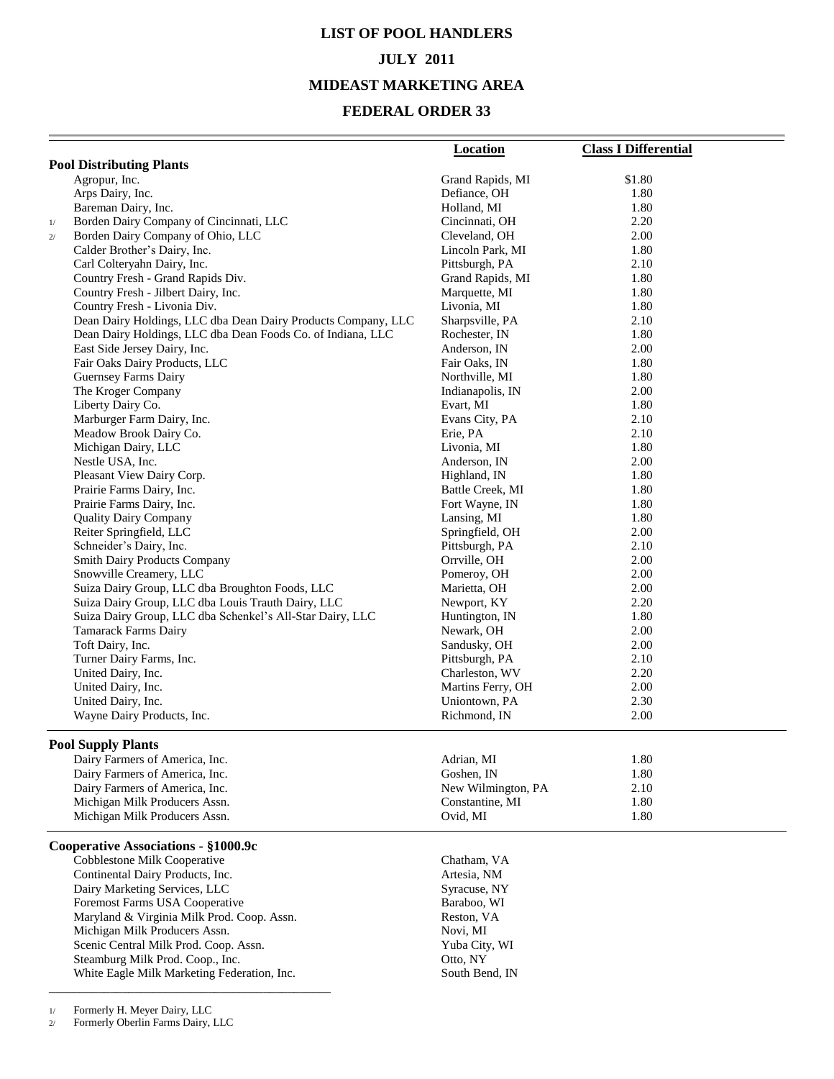# **LIST OF POOL HANDLERS JULY 2011**

## **MIDEAST MARKETING AREA**

### **FEDERAL ORDER 33**

|                                                               | <b>Location</b>    | <b>Class I Differential</b> |
|---------------------------------------------------------------|--------------------|-----------------------------|
| <b>Pool Distributing Plants</b>                               |                    |                             |
| Agropur, Inc.                                                 | Grand Rapids, MI   | \$1.80                      |
| Arps Dairy, Inc.                                              | Defiance, OH       | 1.80                        |
| Bareman Dairy, Inc.                                           | Holland, MI        | 1.80                        |
| Borden Dairy Company of Cincinnati, LLC<br>1/                 | Cincinnati, OH     | 2.20                        |
| Borden Dairy Company of Ohio, LLC<br>2/                       | Cleveland, OH      | 2.00                        |
| Calder Brother's Dairy, Inc.                                  | Lincoln Park, MI   | 1.80                        |
| Carl Colteryahn Dairy, Inc.                                   | Pittsburgh, PA     | 2.10                        |
| Country Fresh - Grand Rapids Div.                             | Grand Rapids, MI   | 1.80                        |
| Country Fresh - Jilbert Dairy, Inc.                           | Marquette, MI      | 1.80                        |
| Country Fresh - Livonia Div.                                  | Livonia, MI        | 1.80                        |
| Dean Dairy Holdings, LLC dba Dean Dairy Products Company, LLC | Sharpsville, PA    | 2.10                        |
| Dean Dairy Holdings, LLC dba Dean Foods Co. of Indiana, LLC   | Rochester, IN      | 1.80                        |
| East Side Jersey Dairy, Inc.                                  | Anderson, IN       | 2.00                        |
| Fair Oaks Dairy Products, LLC                                 | Fair Oaks, IN      | 1.80                        |
| <b>Guernsey Farms Dairy</b>                                   | Northville, MI     | 1.80                        |
| The Kroger Company                                            | Indianapolis, IN   | 2.00                        |
| Liberty Dairy Co.                                             | Evart, MI          | 1.80                        |
| Marburger Farm Dairy, Inc.                                    | Evans City, PA     | 2.10                        |
| Meadow Brook Dairy Co.                                        | Erie, PA           | 2.10                        |
| Michigan Dairy, LLC                                           | Livonia, MI        | 1.80                        |
| Nestle USA, Inc.                                              | Anderson, IN       | 2.00                        |
| Pleasant View Dairy Corp.                                     | Highland, IN       | 1.80                        |
| Prairie Farms Dairy, Inc.                                     | Battle Creek, MI   | 1.80                        |
| Prairie Farms Dairy, Inc.                                     | Fort Wayne, IN     | 1.80                        |
| <b>Quality Dairy Company</b>                                  | Lansing, MI        | 1.80                        |
| Reiter Springfield, LLC                                       | Springfield, OH    | 2.00                        |
| Schneider's Dairy, Inc.                                       | Pittsburgh, PA     | 2.10                        |
| <b>Smith Dairy Products Company</b>                           | Orrville, OH       | 2.00                        |
| Snowville Creamery, LLC                                       | Pomeroy, OH        | 2.00                        |
| Suiza Dairy Group, LLC dba Broughton Foods, LLC               | Marietta, OH       | 2.00                        |
| Suiza Dairy Group, LLC dba Louis Trauth Dairy, LLC            | Newport, KY        | 2.20                        |
| Suiza Dairy Group, LLC dba Schenkel's All-Star Dairy, LLC     | Huntington, IN     | 1.80                        |
| Tamarack Farms Dairy                                          | Newark, OH         | 2.00                        |
| Toft Dairy, Inc.                                              | Sandusky, OH       | 2.00                        |
| Turner Dairy Farms, Inc.                                      | Pittsburgh, PA     | 2.10                        |
| United Dairy, Inc.                                            | Charleston, WV     | 2.20                        |
| United Dairy, Inc.                                            | Martins Ferry, OH  | 2.00                        |
| United Dairy, Inc.                                            | Uniontown, PA      | 2.30                        |
| Wayne Dairy Products, Inc.                                    | Richmond, IN       | 2.00                        |
| <b>Pool Supply Plants</b>                                     |                    |                             |
| Dairy Farmers of America, Inc.                                | Adrian, MI         | 1.80                        |
| Dairy Farmers of America, Inc.                                | Goshen, IN         | 1.80                        |
| Dairy Farmers of America, Inc.                                | New Wilmington, PA | 2.10                        |
| Michigan Milk Producers Assn.                                 | Constantine, MI    | 1.80                        |
| Michigan Milk Producers Assn.                                 | Ovid, MI           | 1.80                        |
| Cooperative Associations - §1000.9c                           |                    |                             |
| Cobblestone Milk Cooperative                                  | Chatham, VA        |                             |
| Continental Dairy Products, Inc.                              | Artesia, NM        |                             |
| Dairy Marketing Services, LLC                                 | Syracuse, NY       |                             |
| Foremost Farms USA Cooperative                                | Baraboo, WI        |                             |
| Maryland & Virginia Milk Prod. Coop. Assn.                    | Reston, VA         |                             |
| Michigan Milk Producers Assn.                                 | Novi, MI           |                             |
| Scenic Central Milk Prod. Coop. Assn.                         | Yuba City, WI      |                             |
| Steamburg Milk Prod. Coop., Inc.                              | Otto, NY           |                             |
| White Eagle Milk Marketing Federation, Inc.                   | South Bend, IN     |                             |

1/ Formerly H. Meyer Dairy, LLC

2/ Formerly Oberlin Farms Dairy, LLC

\_\_\_\_\_\_\_\_\_\_\_\_\_\_\_\_\_\_\_\_\_\_\_\_\_\_\_\_\_\_\_\_\_\_\_\_\_\_\_\_\_\_\_\_\_\_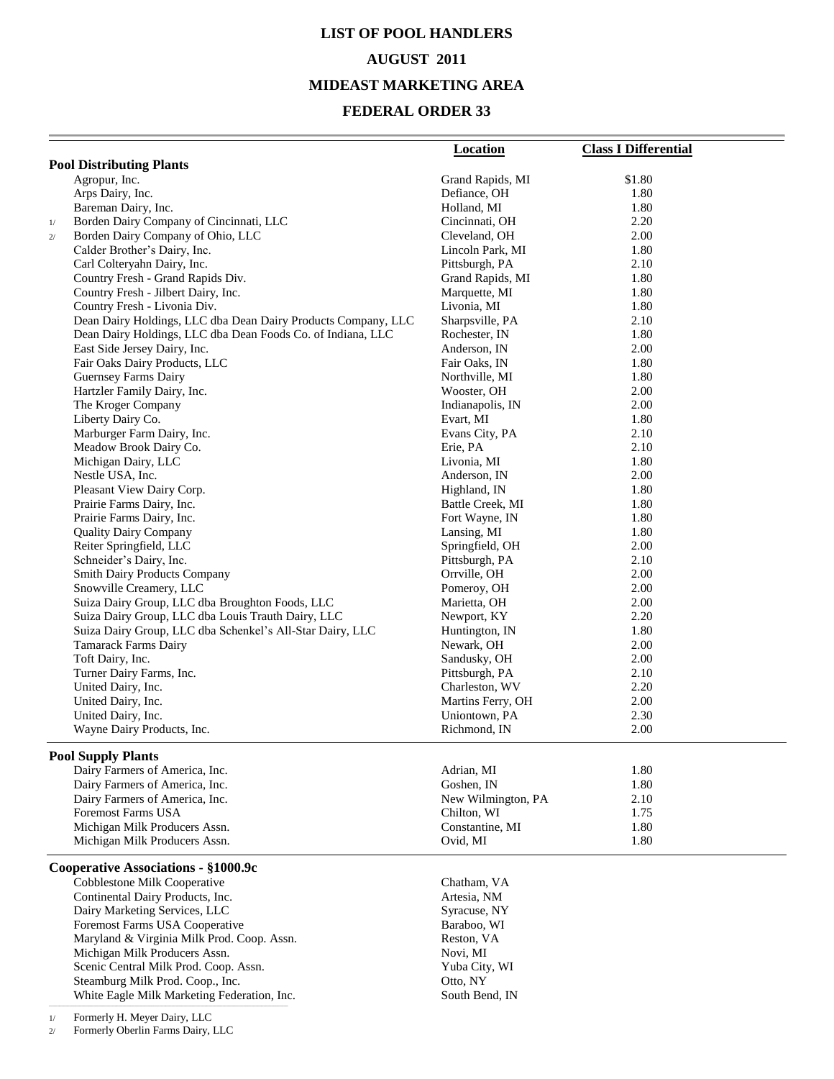## **LIST OF POOL HANDLERS AUGUST 2011 MIDEAST MARKETING AREA**

### **FEDERAL ORDER 33**

|    |                                                                                 | <b>Location</b>                    | <b>Class I Differential</b> |
|----|---------------------------------------------------------------------------------|------------------------------------|-----------------------------|
|    | <b>Pool Distributing Plants</b>                                                 |                                    |                             |
|    | Agropur, Inc.                                                                   | Grand Rapids, MI                   | \$1.80                      |
|    | Arps Dairy, Inc.                                                                | Defiance, OH                       | 1.80                        |
|    | Bareman Dairy, Inc.                                                             | Holland, MI                        | 1.80                        |
| 1/ | Borden Dairy Company of Cincinnati, LLC                                         | Cincinnati, OH                     | 2.20                        |
| 2/ | Borden Dairy Company of Ohio, LLC                                               | Cleveland, OH                      | 2.00                        |
|    | Calder Brother's Dairy, Inc.                                                    | Lincoln Park, MI                   | 1.80                        |
|    | Carl Colteryahn Dairy, Inc.                                                     | Pittsburgh, PA                     | 2.10                        |
|    | Country Fresh - Grand Rapids Div.                                               | Grand Rapids, MI                   | 1.80                        |
|    | Country Fresh - Jilbert Dairy, Inc.                                             | Marquette, MI                      | 1.80                        |
|    | Country Fresh - Livonia Div.                                                    | Livonia, MI                        | 1.80                        |
|    | Dean Dairy Holdings, LLC dba Dean Dairy Products Company, LLC                   | Sharpsville, PA                    | 2.10                        |
|    | Dean Dairy Holdings, LLC dba Dean Foods Co. of Indiana, LLC                     | Rochester, IN                      | 1.80                        |
|    | East Side Jersey Dairy, Inc.                                                    | Anderson, IN                       | 2.00                        |
|    | Fair Oaks Dairy Products, LLC                                                   | Fair Oaks, IN                      | 1.80                        |
|    | Guernsey Farms Dairy                                                            | Northville, MI                     | 1.80                        |
|    | Hartzler Family Dairy, Inc.                                                     | Wooster, OH                        | 2.00                        |
|    | The Kroger Company                                                              | Indianapolis, IN                   | 2.00                        |
|    | Liberty Dairy Co.                                                               | Evart, MI                          | 1.80                        |
|    | Marburger Farm Dairy, Inc.                                                      | Evans City, PA                     | 2.10                        |
|    | Meadow Brook Dairy Co.                                                          | Erie, PA                           | 2.10                        |
|    | Michigan Dairy, LLC                                                             | Livonia, MI                        | 1.80                        |
|    | Nestle USA, Inc.<br>Pleasant View Dairy Corp.                                   | Anderson, IN                       | 2.00<br>1.80                |
|    |                                                                                 | Highland, IN                       | 1.80                        |
|    | Prairie Farms Dairy, Inc.<br>Prairie Farms Dairy, Inc.                          | Battle Creek, MI<br>Fort Wayne, IN | 1.80                        |
|    | <b>Quality Dairy Company</b>                                                    | Lansing, MI                        | 1.80                        |
|    | Reiter Springfield, LLC                                                         | Springfield, OH                    | 2.00                        |
|    | Schneider's Dairy, Inc.                                                         | Pittsburgh, PA                     | 2.10                        |
|    | <b>Smith Dairy Products Company</b>                                             | Orrville, OH                       | 2.00                        |
|    | Snowville Creamery, LLC                                                         | Pomeroy, OH                        | 2.00                        |
|    | Suiza Dairy Group, LLC dba Broughton Foods, LLC                                 | Marietta, OH                       | 2.00                        |
|    | Suiza Dairy Group, LLC dba Louis Trauth Dairy, LLC                              | Newport, KY                        | 2.20                        |
|    | Suiza Dairy Group, LLC dba Schenkel's All-Star Dairy, LLC                       | Huntington, IN                     | 1.80                        |
|    | Tamarack Farms Dairy                                                            | Newark, OH                         | 2.00                        |
|    | Toft Dairy, Inc.                                                                | Sandusky, OH                       | 2.00                        |
|    | Turner Dairy Farms, Inc.                                                        | Pittsburgh, PA                     | 2.10                        |
|    | United Dairy, Inc.                                                              | Charleston, WV                     | 2.20                        |
|    | United Dairy, Inc.                                                              | Martins Ferry, OH                  | 2.00                        |
|    | United Dairy, Inc.                                                              | Uniontown, PA                      | 2.30                        |
|    | Wayne Dairy Products, Inc.                                                      | Richmond, IN                       | 2.00                        |
|    |                                                                                 |                                    |                             |
|    | <b>Pool Supply Plants</b><br>Dairy Farmers of America, Inc.                     | Adrian, MI                         | 1.80                        |
|    | Dairy Farmers of America, Inc.                                                  | Goshen, IN                         | 1.80                        |
|    | Dairy Farmers of America, Inc.                                                  | New Wilmington, PA                 | 2.10                        |
|    | <b>Foremost Farms USA</b>                                                       | Chilton, WI                        | 1.75                        |
|    | Michigan Milk Producers Assn.                                                   | Constantine, MI                    | 1.80                        |
|    | Michigan Milk Producers Assn.                                                   | Ovid, MI                           | 1.80                        |
|    |                                                                                 |                                    |                             |
|    | Cooperative Associations - §1000.9c                                             |                                    |                             |
|    | Cobblestone Milk Cooperative                                                    | Chatham, VA                        |                             |
|    | Continental Dairy Products, Inc.                                                | Artesia, NM                        |                             |
|    | Dairy Marketing Services, LLC                                                   | Syracuse, NY                       |                             |
|    | Foremost Farms USA Cooperative                                                  | Baraboo, WI                        |                             |
|    | Maryland & Virginia Milk Prod. Coop. Assn.                                      | Reston, VA                         |                             |
|    | Michigan Milk Producers Assn.                                                   | Novi, MI                           |                             |
|    | Scenic Central Milk Prod. Coop. Assn.                                           | Yuba City, WI                      |                             |
|    | Steamburg Milk Prod. Coop., Inc.<br>White Eagle Milk Marketing Federation, Inc. | Otto, NY<br>South Bend, IN         |                             |
|    |                                                                                 |                                    |                             |
| 1/ | Formerly H. Meyer Dairy, LLC                                                    |                                    |                             |

2/ Formerly Oberlin Farms Dairy, LLC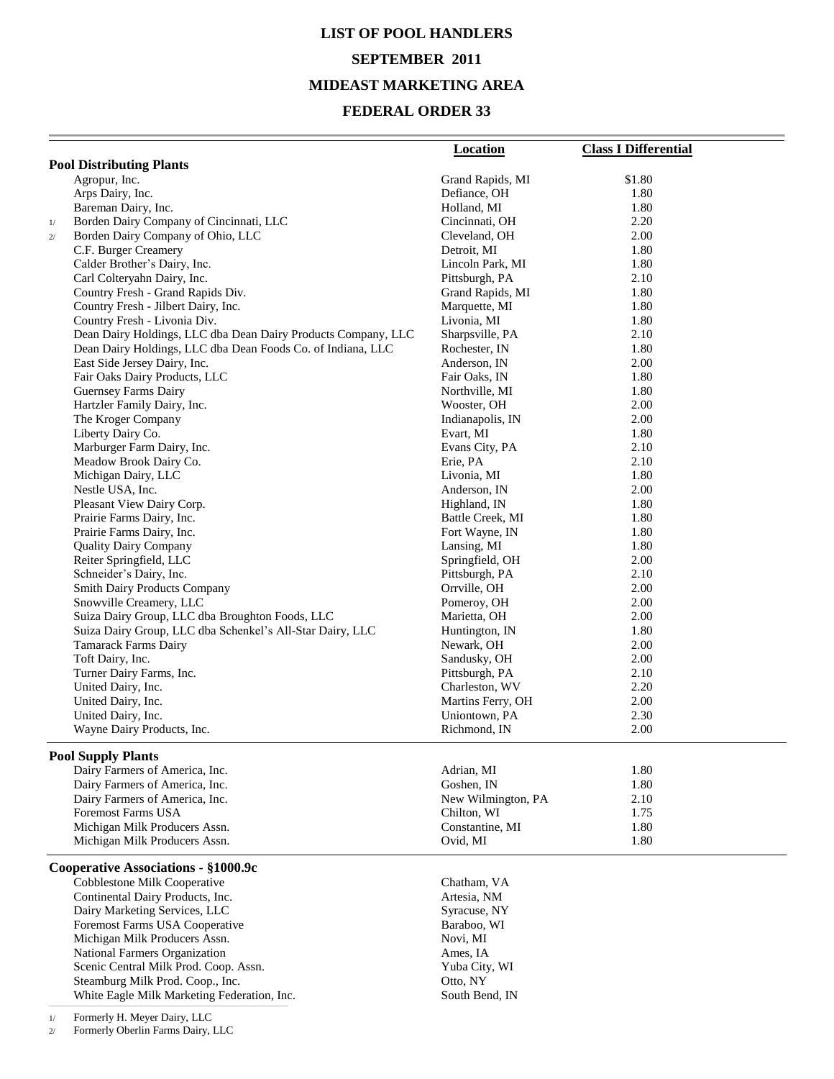# **LIST OF POOL HANDLERS SEPTEMBER 2011 MIDEAST MARKETING AREA**

#### **FEDERAL ORDER 33**

|    |                                                                                                              | <b>Location</b>                  | <b>Class I Differential</b> |
|----|--------------------------------------------------------------------------------------------------------------|----------------------------------|-----------------------------|
|    | <b>Pool Distributing Plants</b>                                                                              |                                  |                             |
|    | Agropur, Inc.                                                                                                | Grand Rapids, MI                 | \$1.80                      |
|    | Arps Dairy, Inc.                                                                                             | Defiance, OH                     | 1.80                        |
|    | Bareman Dairy, Inc.                                                                                          | Holland, MI                      | 1.80                        |
| 1/ | Borden Dairy Company of Cincinnati, LLC                                                                      | Cincinnati, OH                   | 2.20                        |
| 2/ | Borden Dairy Company of Ohio, LLC                                                                            | Cleveland, OH                    | 2.00                        |
|    | C.F. Burger Creamery                                                                                         | Detroit, MI                      | 1.80                        |
|    | Calder Brother's Dairy, Inc.                                                                                 | Lincoln Park, MI                 | 1.80                        |
|    | Carl Colteryahn Dairy, Inc.                                                                                  | Pittsburgh, PA                   | 2.10                        |
|    | Country Fresh - Grand Rapids Div.                                                                            | Grand Rapids, MI                 | 1.80                        |
|    | Country Fresh - Jilbert Dairy, Inc.                                                                          | Marquette, MI                    | 1.80                        |
|    | Country Fresh - Livonia Div.                                                                                 | Livonia, MI                      | 1.80                        |
|    | Dean Dairy Holdings, LLC dba Dean Dairy Products Company, LLC                                                | Sharpsville, PA                  | 2.10                        |
|    | Dean Dairy Holdings, LLC dba Dean Foods Co. of Indiana, LLC<br>East Side Jersey Dairy, Inc.                  | Rochester, IN<br>Anderson, IN    | 1.80<br>2.00                |
|    | Fair Oaks Dairy Products, LLC                                                                                | Fair Oaks, IN                    | 1.80                        |
|    | Guernsey Farms Dairy                                                                                         | Northville, MI                   | 1.80                        |
|    | Hartzler Family Dairy, Inc.                                                                                  | Wooster, OH                      | 2.00                        |
|    | The Kroger Company                                                                                           | Indianapolis, IN                 | 2.00                        |
|    | Liberty Dairy Co.                                                                                            | Evart, MI                        | 1.80                        |
|    | Marburger Farm Dairy, Inc.                                                                                   | Evans City, PA                   | 2.10                        |
|    | Meadow Brook Dairy Co.                                                                                       | Erie, PA                         | 2.10                        |
|    | Michigan Dairy, LLC                                                                                          | Livonia, MI                      | 1.80                        |
|    | Nestle USA, Inc.                                                                                             | Anderson, IN                     | 2.00                        |
|    | Pleasant View Dairy Corp.                                                                                    | Highland, IN                     | 1.80                        |
|    | Prairie Farms Dairy, Inc.                                                                                    | Battle Creek, MI                 | 1.80                        |
|    | Prairie Farms Dairy, Inc.                                                                                    | Fort Wayne, IN                   | 1.80                        |
|    | <b>Quality Dairy Company</b>                                                                                 | Lansing, MI                      | 1.80                        |
|    | Reiter Springfield, LLC                                                                                      | Springfield, OH                  | 2.00                        |
|    | Schneider's Dairy, Inc.                                                                                      | Pittsburgh, PA                   | 2.10                        |
|    | Smith Dairy Products Company                                                                                 | Orrville, OH                     | 2.00                        |
|    | Snowville Creamery, LLC                                                                                      | Pomeroy, OH                      | 2.00                        |
|    | Suiza Dairy Group, LLC dba Broughton Foods, LLC<br>Suiza Dairy Group, LLC dba Schenkel's All-Star Dairy, LLC | Marietta, OH                     | 2.00<br>1.80                |
|    | Tamarack Farms Dairy                                                                                         | Huntington, IN<br>Newark, OH     | 2.00                        |
|    | Toft Dairy, Inc.                                                                                             | Sandusky, OH                     | 2.00                        |
|    | Turner Dairy Farms, Inc.                                                                                     | Pittsburgh, PA                   | 2.10                        |
|    | United Dairy, Inc.                                                                                           | Charleston, WV                   | 2.20                        |
|    | United Dairy, Inc.                                                                                           | Martins Ferry, OH                | 2.00                        |
|    | United Dairy, Inc.                                                                                           | Uniontown, PA                    | 2.30                        |
|    | Wayne Dairy Products, Inc.                                                                                   | Richmond, IN                     | 2.00                        |
|    |                                                                                                              |                                  |                             |
|    | <b>Pool Supply Plants</b>                                                                                    |                                  |                             |
|    | Dairy Farmers of America, Inc.<br>Dairy Farmers of America, Inc.                                             | Adrian, MI                       | 1.80                        |
|    | Dairy Farmers of America, Inc.                                                                               | Goshen, IN<br>New Wilmington, PA | 1.80<br>2.10                |
|    | Foremost Farms USA                                                                                           | Chilton, WI                      | 1.75                        |
|    | Michigan Milk Producers Assn.                                                                                | Constantine, MI                  | 1.80                        |
|    | Michigan Milk Producers Assn.                                                                                | Ovid, MI                         | 1.80                        |
|    |                                                                                                              |                                  |                             |
|    | Cooperative Associations - §1000.9c                                                                          |                                  |                             |
|    | Cobblestone Milk Cooperative                                                                                 | Chatham, VA                      |                             |
|    | Continental Dairy Products, Inc.                                                                             | Artesia, NM                      |                             |
|    | Dairy Marketing Services, LLC                                                                                | Syracuse, NY                     |                             |
|    | Foremost Farms USA Cooperative                                                                               | Baraboo, WI                      |                             |
|    | Michigan Milk Producers Assn.                                                                                | Novi, MI                         |                             |
|    | National Farmers Organization                                                                                | Ames, IA                         |                             |
|    | Scenic Central Milk Prod. Coop. Assn.<br>Steamburg Milk Prod. Coop., Inc.                                    | Yuba City, WI<br>Otto, NY        |                             |
|    | White Eagle Milk Marketing Federation, Inc.                                                                  | South Bend, IN                   |                             |
|    | Formerly H. Meyer Dairy, LLC                                                                                 |                                  |                             |
| 1/ |                                                                                                              |                                  |                             |

2/ Formerly Oberlin Farms Dairy, LLC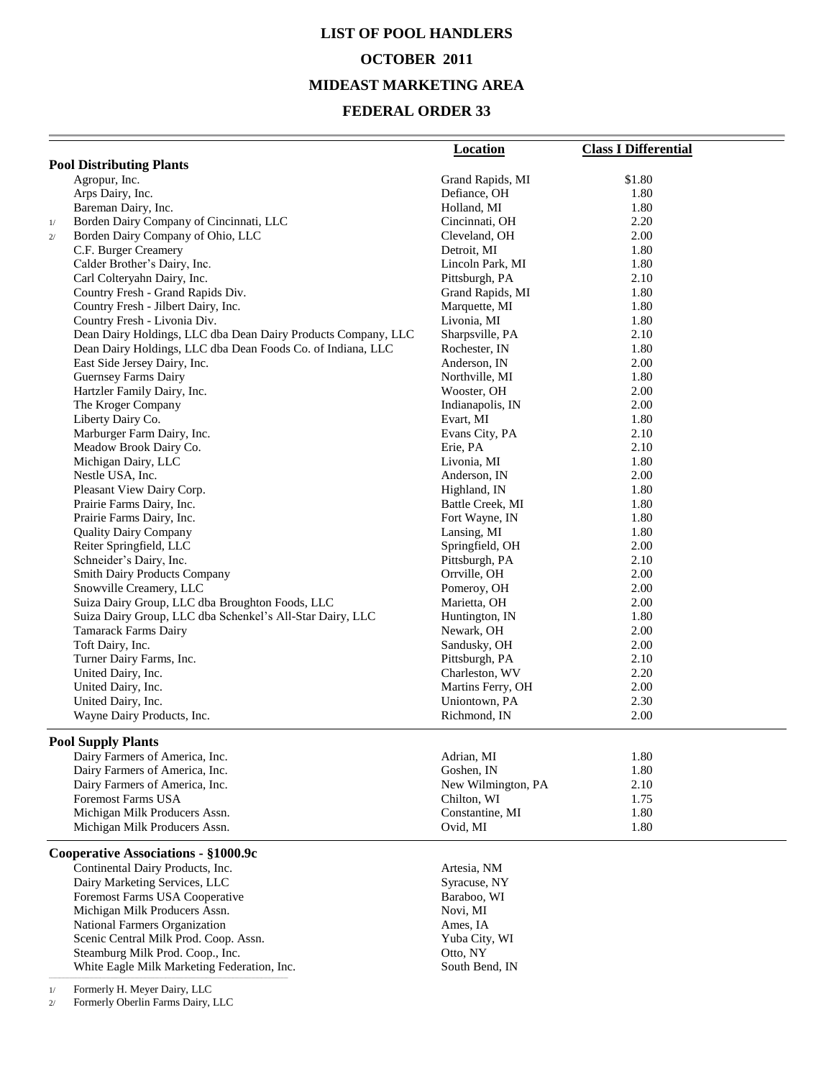# **LIST OF POOL HANDLERS OCTOBER 2011 MIDEAST MARKETING AREA**

#### **FEDERAL ORDER 33**

| <b>Pool Distributing Plants</b><br>\$1.80<br>Agropur, Inc.<br>Grand Rapids, MI<br>Arps Dairy, Inc.<br>Defiance, OH<br>1.80<br>Bareman Dairy, Inc.<br>Holland, MI<br>1.80<br>Borden Dairy Company of Cincinnati, LLC<br>Cincinnati, OH<br>2.20<br>1/<br>Borden Dairy Company of Ohio, LLC<br>Cleveland, OH<br>2.00<br>2/<br>C.F. Burger Creamery<br>Detroit, MI<br>1.80<br>Calder Brother's Dairy, Inc.<br>Lincoln Park, MI<br>1.80<br>2.10<br>Carl Colteryahn Dairy, Inc.<br>Pittsburgh, PA<br>Country Fresh - Grand Rapids Div.<br>Grand Rapids, MI<br>1.80<br>Country Fresh - Jilbert Dairy, Inc.<br>Marquette, MI<br>1.80<br>1.80<br>Country Fresh - Livonia Div.<br>Livonia, MI<br>Dean Dairy Holdings, LLC dba Dean Dairy Products Company, LLC<br>Sharpsville, PA<br>2.10<br>Dean Dairy Holdings, LLC dba Dean Foods Co. of Indiana, LLC<br>Rochester, IN<br>1.80<br>East Side Jersey Dairy, Inc.<br>2.00<br>Anderson, IN<br>1.80<br>Guernsey Farms Dairy<br>Northville, MI<br>Hartzler Family Dairy, Inc.<br>Wooster, OH<br>2.00<br>The Kroger Company<br>2.00<br>Indianapolis, IN<br>Liberty Dairy Co.<br>Evart, MI<br>1.80<br>Marburger Farm Dairy, Inc.<br>2.10<br>Evans City, PA<br>Meadow Brook Dairy Co.<br>2.10<br>Erie, PA<br>1.80<br>Michigan Dairy, LLC<br>Livonia, MI<br>2.00<br>Nestle USA, Inc.<br>Anderson, IN<br>Pleasant View Dairy Corp.<br>Highland, IN<br>1.80<br>Battle Creek, MI<br>1.80<br>Prairie Farms Dairy, Inc.<br>Prairie Farms Dairy, Inc.<br>Fort Wayne, IN<br>1.80<br><b>Quality Dairy Company</b><br>1.80<br>Lansing, MI<br>Reiter Springfield, LLC<br>Springfield, OH<br>2.00<br>Schneider's Dairy, Inc.<br>Pittsburgh, PA<br>2.10<br>Smith Dairy Products Company<br>Orrville, OH<br>2.00<br>Snowville Creamery, LLC<br>Pomeroy, OH<br>2.00<br>Suiza Dairy Group, LLC dba Broughton Foods, LLC<br>2.00<br>Marietta, OH<br>Suiza Dairy Group, LLC dba Schenkel's All-Star Dairy, LLC<br>Huntington, IN<br>1.80<br>Tamarack Farms Dairy<br>2.00<br>Newark, OH<br>Toft Dairy, Inc.<br>Sandusky, OH<br>2.00<br>Turner Dairy Farms, Inc.<br>Pittsburgh, PA<br>2.10<br>United Dairy, Inc.<br>Charleston, WV<br>2.20<br>United Dairy, Inc.<br>Martins Ferry, OH<br>2.00<br>2.30<br>United Dairy, Inc.<br>Uniontown, PA<br>Wayne Dairy Products, Inc.<br>Richmond, IN<br>2.00<br><b>Pool Supply Plants</b><br>Dairy Farmers of America, Inc.<br>Adrian, MI<br>1.80<br>Dairy Farmers of America, Inc.<br>Goshen, IN<br>1.80<br>Dairy Farmers of America, Inc.<br>New Wilmington, PA<br>2.10<br><b>Foremost Farms USA</b><br>1.75<br>Chilton, WI<br>Michigan Milk Producers Assn.<br>Constantine, MI<br>1.80<br>1.80<br>Michigan Milk Producers Assn.<br>Ovid, MI<br>Cooperative Associations - §1000.9c<br>Continental Dairy Products, Inc.<br>Artesia, NM<br>Dairy Marketing Services, LLC<br>Syracuse, NY<br>Foremost Farms USA Cooperative<br>Baraboo, WI<br>Michigan Milk Producers Assn.<br>Novi, MI<br>National Farmers Organization<br>Ames, IA<br>Scenic Central Milk Prod. Coop. Assn.<br>Yuba City, WI<br>Steamburg Milk Prod. Coop., Inc.<br>Otto, NY<br>White Eagle Milk Marketing Federation, Inc.<br>South Bend, IN | <b>Location</b> | <b>Class I Differential</b> |
|-------------------------------------------------------------------------------------------------------------------------------------------------------------------------------------------------------------------------------------------------------------------------------------------------------------------------------------------------------------------------------------------------------------------------------------------------------------------------------------------------------------------------------------------------------------------------------------------------------------------------------------------------------------------------------------------------------------------------------------------------------------------------------------------------------------------------------------------------------------------------------------------------------------------------------------------------------------------------------------------------------------------------------------------------------------------------------------------------------------------------------------------------------------------------------------------------------------------------------------------------------------------------------------------------------------------------------------------------------------------------------------------------------------------------------------------------------------------------------------------------------------------------------------------------------------------------------------------------------------------------------------------------------------------------------------------------------------------------------------------------------------------------------------------------------------------------------------------------------------------------------------------------------------------------------------------------------------------------------------------------------------------------------------------------------------------------------------------------------------------------------------------------------------------------------------------------------------------------------------------------------------------------------------------------------------------------------------------------------------------------------------------------------------------------------------------------------------------------------------------------------------------------------------------------------------------------------------------------------------------------------------------------------------------------------------------------------------------------------------------------------------------------------------------------------------------------------------------------------------------------------------------------------------------------------------------------------------------------------------------------------------------------------------------------------------------------------------------------------------------------------------------------------------------|-----------------|-----------------------------|
|                                                                                                                                                                                                                                                                                                                                                                                                                                                                                                                                                                                                                                                                                                                                                                                                                                                                                                                                                                                                                                                                                                                                                                                                                                                                                                                                                                                                                                                                                                                                                                                                                                                                                                                                                                                                                                                                                                                                                                                                                                                                                                                                                                                                                                                                                                                                                                                                                                                                                                                                                                                                                                                                                                                                                                                                                                                                                                                                                                                                                                                                                                                                                                   |                 |                             |
|                                                                                                                                                                                                                                                                                                                                                                                                                                                                                                                                                                                                                                                                                                                                                                                                                                                                                                                                                                                                                                                                                                                                                                                                                                                                                                                                                                                                                                                                                                                                                                                                                                                                                                                                                                                                                                                                                                                                                                                                                                                                                                                                                                                                                                                                                                                                                                                                                                                                                                                                                                                                                                                                                                                                                                                                                                                                                                                                                                                                                                                                                                                                                                   |                 |                             |
|                                                                                                                                                                                                                                                                                                                                                                                                                                                                                                                                                                                                                                                                                                                                                                                                                                                                                                                                                                                                                                                                                                                                                                                                                                                                                                                                                                                                                                                                                                                                                                                                                                                                                                                                                                                                                                                                                                                                                                                                                                                                                                                                                                                                                                                                                                                                                                                                                                                                                                                                                                                                                                                                                                                                                                                                                                                                                                                                                                                                                                                                                                                                                                   |                 |                             |
|                                                                                                                                                                                                                                                                                                                                                                                                                                                                                                                                                                                                                                                                                                                                                                                                                                                                                                                                                                                                                                                                                                                                                                                                                                                                                                                                                                                                                                                                                                                                                                                                                                                                                                                                                                                                                                                                                                                                                                                                                                                                                                                                                                                                                                                                                                                                                                                                                                                                                                                                                                                                                                                                                                                                                                                                                                                                                                                                                                                                                                                                                                                                                                   |                 |                             |
|                                                                                                                                                                                                                                                                                                                                                                                                                                                                                                                                                                                                                                                                                                                                                                                                                                                                                                                                                                                                                                                                                                                                                                                                                                                                                                                                                                                                                                                                                                                                                                                                                                                                                                                                                                                                                                                                                                                                                                                                                                                                                                                                                                                                                                                                                                                                                                                                                                                                                                                                                                                                                                                                                                                                                                                                                                                                                                                                                                                                                                                                                                                                                                   |                 |                             |
|                                                                                                                                                                                                                                                                                                                                                                                                                                                                                                                                                                                                                                                                                                                                                                                                                                                                                                                                                                                                                                                                                                                                                                                                                                                                                                                                                                                                                                                                                                                                                                                                                                                                                                                                                                                                                                                                                                                                                                                                                                                                                                                                                                                                                                                                                                                                                                                                                                                                                                                                                                                                                                                                                                                                                                                                                                                                                                                                                                                                                                                                                                                                                                   |                 |                             |
|                                                                                                                                                                                                                                                                                                                                                                                                                                                                                                                                                                                                                                                                                                                                                                                                                                                                                                                                                                                                                                                                                                                                                                                                                                                                                                                                                                                                                                                                                                                                                                                                                                                                                                                                                                                                                                                                                                                                                                                                                                                                                                                                                                                                                                                                                                                                                                                                                                                                                                                                                                                                                                                                                                                                                                                                                                                                                                                                                                                                                                                                                                                                                                   |                 |                             |
|                                                                                                                                                                                                                                                                                                                                                                                                                                                                                                                                                                                                                                                                                                                                                                                                                                                                                                                                                                                                                                                                                                                                                                                                                                                                                                                                                                                                                                                                                                                                                                                                                                                                                                                                                                                                                                                                                                                                                                                                                                                                                                                                                                                                                                                                                                                                                                                                                                                                                                                                                                                                                                                                                                                                                                                                                                                                                                                                                                                                                                                                                                                                                                   |                 |                             |
|                                                                                                                                                                                                                                                                                                                                                                                                                                                                                                                                                                                                                                                                                                                                                                                                                                                                                                                                                                                                                                                                                                                                                                                                                                                                                                                                                                                                                                                                                                                                                                                                                                                                                                                                                                                                                                                                                                                                                                                                                                                                                                                                                                                                                                                                                                                                                                                                                                                                                                                                                                                                                                                                                                                                                                                                                                                                                                                                                                                                                                                                                                                                                                   |                 |                             |
|                                                                                                                                                                                                                                                                                                                                                                                                                                                                                                                                                                                                                                                                                                                                                                                                                                                                                                                                                                                                                                                                                                                                                                                                                                                                                                                                                                                                                                                                                                                                                                                                                                                                                                                                                                                                                                                                                                                                                                                                                                                                                                                                                                                                                                                                                                                                                                                                                                                                                                                                                                                                                                                                                                                                                                                                                                                                                                                                                                                                                                                                                                                                                                   |                 |                             |
|                                                                                                                                                                                                                                                                                                                                                                                                                                                                                                                                                                                                                                                                                                                                                                                                                                                                                                                                                                                                                                                                                                                                                                                                                                                                                                                                                                                                                                                                                                                                                                                                                                                                                                                                                                                                                                                                                                                                                                                                                                                                                                                                                                                                                                                                                                                                                                                                                                                                                                                                                                                                                                                                                                                                                                                                                                                                                                                                                                                                                                                                                                                                                                   |                 |                             |
|                                                                                                                                                                                                                                                                                                                                                                                                                                                                                                                                                                                                                                                                                                                                                                                                                                                                                                                                                                                                                                                                                                                                                                                                                                                                                                                                                                                                                                                                                                                                                                                                                                                                                                                                                                                                                                                                                                                                                                                                                                                                                                                                                                                                                                                                                                                                                                                                                                                                                                                                                                                                                                                                                                                                                                                                                                                                                                                                                                                                                                                                                                                                                                   |                 |                             |
|                                                                                                                                                                                                                                                                                                                                                                                                                                                                                                                                                                                                                                                                                                                                                                                                                                                                                                                                                                                                                                                                                                                                                                                                                                                                                                                                                                                                                                                                                                                                                                                                                                                                                                                                                                                                                                                                                                                                                                                                                                                                                                                                                                                                                                                                                                                                                                                                                                                                                                                                                                                                                                                                                                                                                                                                                                                                                                                                                                                                                                                                                                                                                                   |                 |                             |
|                                                                                                                                                                                                                                                                                                                                                                                                                                                                                                                                                                                                                                                                                                                                                                                                                                                                                                                                                                                                                                                                                                                                                                                                                                                                                                                                                                                                                                                                                                                                                                                                                                                                                                                                                                                                                                                                                                                                                                                                                                                                                                                                                                                                                                                                                                                                                                                                                                                                                                                                                                                                                                                                                                                                                                                                                                                                                                                                                                                                                                                                                                                                                                   |                 |                             |
|                                                                                                                                                                                                                                                                                                                                                                                                                                                                                                                                                                                                                                                                                                                                                                                                                                                                                                                                                                                                                                                                                                                                                                                                                                                                                                                                                                                                                                                                                                                                                                                                                                                                                                                                                                                                                                                                                                                                                                                                                                                                                                                                                                                                                                                                                                                                                                                                                                                                                                                                                                                                                                                                                                                                                                                                                                                                                                                                                                                                                                                                                                                                                                   |                 |                             |
|                                                                                                                                                                                                                                                                                                                                                                                                                                                                                                                                                                                                                                                                                                                                                                                                                                                                                                                                                                                                                                                                                                                                                                                                                                                                                                                                                                                                                                                                                                                                                                                                                                                                                                                                                                                                                                                                                                                                                                                                                                                                                                                                                                                                                                                                                                                                                                                                                                                                                                                                                                                                                                                                                                                                                                                                                                                                                                                                                                                                                                                                                                                                                                   |                 |                             |
|                                                                                                                                                                                                                                                                                                                                                                                                                                                                                                                                                                                                                                                                                                                                                                                                                                                                                                                                                                                                                                                                                                                                                                                                                                                                                                                                                                                                                                                                                                                                                                                                                                                                                                                                                                                                                                                                                                                                                                                                                                                                                                                                                                                                                                                                                                                                                                                                                                                                                                                                                                                                                                                                                                                                                                                                                                                                                                                                                                                                                                                                                                                                                                   |                 |                             |
|                                                                                                                                                                                                                                                                                                                                                                                                                                                                                                                                                                                                                                                                                                                                                                                                                                                                                                                                                                                                                                                                                                                                                                                                                                                                                                                                                                                                                                                                                                                                                                                                                                                                                                                                                                                                                                                                                                                                                                                                                                                                                                                                                                                                                                                                                                                                                                                                                                                                                                                                                                                                                                                                                                                                                                                                                                                                                                                                                                                                                                                                                                                                                                   |                 |                             |
|                                                                                                                                                                                                                                                                                                                                                                                                                                                                                                                                                                                                                                                                                                                                                                                                                                                                                                                                                                                                                                                                                                                                                                                                                                                                                                                                                                                                                                                                                                                                                                                                                                                                                                                                                                                                                                                                                                                                                                                                                                                                                                                                                                                                                                                                                                                                                                                                                                                                                                                                                                                                                                                                                                                                                                                                                                                                                                                                                                                                                                                                                                                                                                   |                 |                             |
|                                                                                                                                                                                                                                                                                                                                                                                                                                                                                                                                                                                                                                                                                                                                                                                                                                                                                                                                                                                                                                                                                                                                                                                                                                                                                                                                                                                                                                                                                                                                                                                                                                                                                                                                                                                                                                                                                                                                                                                                                                                                                                                                                                                                                                                                                                                                                                                                                                                                                                                                                                                                                                                                                                                                                                                                                                                                                                                                                                                                                                                                                                                                                                   |                 |                             |
|                                                                                                                                                                                                                                                                                                                                                                                                                                                                                                                                                                                                                                                                                                                                                                                                                                                                                                                                                                                                                                                                                                                                                                                                                                                                                                                                                                                                                                                                                                                                                                                                                                                                                                                                                                                                                                                                                                                                                                                                                                                                                                                                                                                                                                                                                                                                                                                                                                                                                                                                                                                                                                                                                                                                                                                                                                                                                                                                                                                                                                                                                                                                                                   |                 |                             |
|                                                                                                                                                                                                                                                                                                                                                                                                                                                                                                                                                                                                                                                                                                                                                                                                                                                                                                                                                                                                                                                                                                                                                                                                                                                                                                                                                                                                                                                                                                                                                                                                                                                                                                                                                                                                                                                                                                                                                                                                                                                                                                                                                                                                                                                                                                                                                                                                                                                                                                                                                                                                                                                                                                                                                                                                                                                                                                                                                                                                                                                                                                                                                                   |                 |                             |
|                                                                                                                                                                                                                                                                                                                                                                                                                                                                                                                                                                                                                                                                                                                                                                                                                                                                                                                                                                                                                                                                                                                                                                                                                                                                                                                                                                                                                                                                                                                                                                                                                                                                                                                                                                                                                                                                                                                                                                                                                                                                                                                                                                                                                                                                                                                                                                                                                                                                                                                                                                                                                                                                                                                                                                                                                                                                                                                                                                                                                                                                                                                                                                   |                 |                             |
|                                                                                                                                                                                                                                                                                                                                                                                                                                                                                                                                                                                                                                                                                                                                                                                                                                                                                                                                                                                                                                                                                                                                                                                                                                                                                                                                                                                                                                                                                                                                                                                                                                                                                                                                                                                                                                                                                                                                                                                                                                                                                                                                                                                                                                                                                                                                                                                                                                                                                                                                                                                                                                                                                                                                                                                                                                                                                                                                                                                                                                                                                                                                                                   |                 |                             |
|                                                                                                                                                                                                                                                                                                                                                                                                                                                                                                                                                                                                                                                                                                                                                                                                                                                                                                                                                                                                                                                                                                                                                                                                                                                                                                                                                                                                                                                                                                                                                                                                                                                                                                                                                                                                                                                                                                                                                                                                                                                                                                                                                                                                                                                                                                                                                                                                                                                                                                                                                                                                                                                                                                                                                                                                                                                                                                                                                                                                                                                                                                                                                                   |                 |                             |
|                                                                                                                                                                                                                                                                                                                                                                                                                                                                                                                                                                                                                                                                                                                                                                                                                                                                                                                                                                                                                                                                                                                                                                                                                                                                                                                                                                                                                                                                                                                                                                                                                                                                                                                                                                                                                                                                                                                                                                                                                                                                                                                                                                                                                                                                                                                                                                                                                                                                                                                                                                                                                                                                                                                                                                                                                                                                                                                                                                                                                                                                                                                                                                   |                 |                             |
|                                                                                                                                                                                                                                                                                                                                                                                                                                                                                                                                                                                                                                                                                                                                                                                                                                                                                                                                                                                                                                                                                                                                                                                                                                                                                                                                                                                                                                                                                                                                                                                                                                                                                                                                                                                                                                                                                                                                                                                                                                                                                                                                                                                                                                                                                                                                                                                                                                                                                                                                                                                                                                                                                                                                                                                                                                                                                                                                                                                                                                                                                                                                                                   |                 |                             |
|                                                                                                                                                                                                                                                                                                                                                                                                                                                                                                                                                                                                                                                                                                                                                                                                                                                                                                                                                                                                                                                                                                                                                                                                                                                                                                                                                                                                                                                                                                                                                                                                                                                                                                                                                                                                                                                                                                                                                                                                                                                                                                                                                                                                                                                                                                                                                                                                                                                                                                                                                                                                                                                                                                                                                                                                                                                                                                                                                                                                                                                                                                                                                                   |                 |                             |
|                                                                                                                                                                                                                                                                                                                                                                                                                                                                                                                                                                                                                                                                                                                                                                                                                                                                                                                                                                                                                                                                                                                                                                                                                                                                                                                                                                                                                                                                                                                                                                                                                                                                                                                                                                                                                                                                                                                                                                                                                                                                                                                                                                                                                                                                                                                                                                                                                                                                                                                                                                                                                                                                                                                                                                                                                                                                                                                                                                                                                                                                                                                                                                   |                 |                             |
|                                                                                                                                                                                                                                                                                                                                                                                                                                                                                                                                                                                                                                                                                                                                                                                                                                                                                                                                                                                                                                                                                                                                                                                                                                                                                                                                                                                                                                                                                                                                                                                                                                                                                                                                                                                                                                                                                                                                                                                                                                                                                                                                                                                                                                                                                                                                                                                                                                                                                                                                                                                                                                                                                                                                                                                                                                                                                                                                                                                                                                                                                                                                                                   |                 |                             |
|                                                                                                                                                                                                                                                                                                                                                                                                                                                                                                                                                                                                                                                                                                                                                                                                                                                                                                                                                                                                                                                                                                                                                                                                                                                                                                                                                                                                                                                                                                                                                                                                                                                                                                                                                                                                                                                                                                                                                                                                                                                                                                                                                                                                                                                                                                                                                                                                                                                                                                                                                                                                                                                                                                                                                                                                                                                                                                                                                                                                                                                                                                                                                                   |                 |                             |
|                                                                                                                                                                                                                                                                                                                                                                                                                                                                                                                                                                                                                                                                                                                                                                                                                                                                                                                                                                                                                                                                                                                                                                                                                                                                                                                                                                                                                                                                                                                                                                                                                                                                                                                                                                                                                                                                                                                                                                                                                                                                                                                                                                                                                                                                                                                                                                                                                                                                                                                                                                                                                                                                                                                                                                                                                                                                                                                                                                                                                                                                                                                                                                   |                 |                             |
|                                                                                                                                                                                                                                                                                                                                                                                                                                                                                                                                                                                                                                                                                                                                                                                                                                                                                                                                                                                                                                                                                                                                                                                                                                                                                                                                                                                                                                                                                                                                                                                                                                                                                                                                                                                                                                                                                                                                                                                                                                                                                                                                                                                                                                                                                                                                                                                                                                                                                                                                                                                                                                                                                                                                                                                                                                                                                                                                                                                                                                                                                                                                                                   |                 |                             |
|                                                                                                                                                                                                                                                                                                                                                                                                                                                                                                                                                                                                                                                                                                                                                                                                                                                                                                                                                                                                                                                                                                                                                                                                                                                                                                                                                                                                                                                                                                                                                                                                                                                                                                                                                                                                                                                                                                                                                                                                                                                                                                                                                                                                                                                                                                                                                                                                                                                                                                                                                                                                                                                                                                                                                                                                                                                                                                                                                                                                                                                                                                                                                                   |                 |                             |
|                                                                                                                                                                                                                                                                                                                                                                                                                                                                                                                                                                                                                                                                                                                                                                                                                                                                                                                                                                                                                                                                                                                                                                                                                                                                                                                                                                                                                                                                                                                                                                                                                                                                                                                                                                                                                                                                                                                                                                                                                                                                                                                                                                                                                                                                                                                                                                                                                                                                                                                                                                                                                                                                                                                                                                                                                                                                                                                                                                                                                                                                                                                                                                   |                 |                             |
|                                                                                                                                                                                                                                                                                                                                                                                                                                                                                                                                                                                                                                                                                                                                                                                                                                                                                                                                                                                                                                                                                                                                                                                                                                                                                                                                                                                                                                                                                                                                                                                                                                                                                                                                                                                                                                                                                                                                                                                                                                                                                                                                                                                                                                                                                                                                                                                                                                                                                                                                                                                                                                                                                                                                                                                                                                                                                                                                                                                                                                                                                                                                                                   |                 |                             |
|                                                                                                                                                                                                                                                                                                                                                                                                                                                                                                                                                                                                                                                                                                                                                                                                                                                                                                                                                                                                                                                                                                                                                                                                                                                                                                                                                                                                                                                                                                                                                                                                                                                                                                                                                                                                                                                                                                                                                                                                                                                                                                                                                                                                                                                                                                                                                                                                                                                                                                                                                                                                                                                                                                                                                                                                                                                                                                                                                                                                                                                                                                                                                                   |                 |                             |
|                                                                                                                                                                                                                                                                                                                                                                                                                                                                                                                                                                                                                                                                                                                                                                                                                                                                                                                                                                                                                                                                                                                                                                                                                                                                                                                                                                                                                                                                                                                                                                                                                                                                                                                                                                                                                                                                                                                                                                                                                                                                                                                                                                                                                                                                                                                                                                                                                                                                                                                                                                                                                                                                                                                                                                                                                                                                                                                                                                                                                                                                                                                                                                   |                 |                             |
|                                                                                                                                                                                                                                                                                                                                                                                                                                                                                                                                                                                                                                                                                                                                                                                                                                                                                                                                                                                                                                                                                                                                                                                                                                                                                                                                                                                                                                                                                                                                                                                                                                                                                                                                                                                                                                                                                                                                                                                                                                                                                                                                                                                                                                                                                                                                                                                                                                                                                                                                                                                                                                                                                                                                                                                                                                                                                                                                                                                                                                                                                                                                                                   |                 |                             |
|                                                                                                                                                                                                                                                                                                                                                                                                                                                                                                                                                                                                                                                                                                                                                                                                                                                                                                                                                                                                                                                                                                                                                                                                                                                                                                                                                                                                                                                                                                                                                                                                                                                                                                                                                                                                                                                                                                                                                                                                                                                                                                                                                                                                                                                                                                                                                                                                                                                                                                                                                                                                                                                                                                                                                                                                                                                                                                                                                                                                                                                                                                                                                                   |                 |                             |
|                                                                                                                                                                                                                                                                                                                                                                                                                                                                                                                                                                                                                                                                                                                                                                                                                                                                                                                                                                                                                                                                                                                                                                                                                                                                                                                                                                                                                                                                                                                                                                                                                                                                                                                                                                                                                                                                                                                                                                                                                                                                                                                                                                                                                                                                                                                                                                                                                                                                                                                                                                                                                                                                                                                                                                                                                                                                                                                                                                                                                                                                                                                                                                   |                 |                             |
|                                                                                                                                                                                                                                                                                                                                                                                                                                                                                                                                                                                                                                                                                                                                                                                                                                                                                                                                                                                                                                                                                                                                                                                                                                                                                                                                                                                                                                                                                                                                                                                                                                                                                                                                                                                                                                                                                                                                                                                                                                                                                                                                                                                                                                                                                                                                                                                                                                                                                                                                                                                                                                                                                                                                                                                                                                                                                                                                                                                                                                                                                                                                                                   |                 |                             |
|                                                                                                                                                                                                                                                                                                                                                                                                                                                                                                                                                                                                                                                                                                                                                                                                                                                                                                                                                                                                                                                                                                                                                                                                                                                                                                                                                                                                                                                                                                                                                                                                                                                                                                                                                                                                                                                                                                                                                                                                                                                                                                                                                                                                                                                                                                                                                                                                                                                                                                                                                                                                                                                                                                                                                                                                                                                                                                                                                                                                                                                                                                                                                                   |                 |                             |
|                                                                                                                                                                                                                                                                                                                                                                                                                                                                                                                                                                                                                                                                                                                                                                                                                                                                                                                                                                                                                                                                                                                                                                                                                                                                                                                                                                                                                                                                                                                                                                                                                                                                                                                                                                                                                                                                                                                                                                                                                                                                                                                                                                                                                                                                                                                                                                                                                                                                                                                                                                                                                                                                                                                                                                                                                                                                                                                                                                                                                                                                                                                                                                   |                 |                             |
|                                                                                                                                                                                                                                                                                                                                                                                                                                                                                                                                                                                                                                                                                                                                                                                                                                                                                                                                                                                                                                                                                                                                                                                                                                                                                                                                                                                                                                                                                                                                                                                                                                                                                                                                                                                                                                                                                                                                                                                                                                                                                                                                                                                                                                                                                                                                                                                                                                                                                                                                                                                                                                                                                                                                                                                                                                                                                                                                                                                                                                                                                                                                                                   |                 |                             |
|                                                                                                                                                                                                                                                                                                                                                                                                                                                                                                                                                                                                                                                                                                                                                                                                                                                                                                                                                                                                                                                                                                                                                                                                                                                                                                                                                                                                                                                                                                                                                                                                                                                                                                                                                                                                                                                                                                                                                                                                                                                                                                                                                                                                                                                                                                                                                                                                                                                                                                                                                                                                                                                                                                                                                                                                                                                                                                                                                                                                                                                                                                                                                                   |                 |                             |
|                                                                                                                                                                                                                                                                                                                                                                                                                                                                                                                                                                                                                                                                                                                                                                                                                                                                                                                                                                                                                                                                                                                                                                                                                                                                                                                                                                                                                                                                                                                                                                                                                                                                                                                                                                                                                                                                                                                                                                                                                                                                                                                                                                                                                                                                                                                                                                                                                                                                                                                                                                                                                                                                                                                                                                                                                                                                                                                                                                                                                                                                                                                                                                   |                 |                             |
|                                                                                                                                                                                                                                                                                                                                                                                                                                                                                                                                                                                                                                                                                                                                                                                                                                                                                                                                                                                                                                                                                                                                                                                                                                                                                                                                                                                                                                                                                                                                                                                                                                                                                                                                                                                                                                                                                                                                                                                                                                                                                                                                                                                                                                                                                                                                                                                                                                                                                                                                                                                                                                                                                                                                                                                                                                                                                                                                                                                                                                                                                                                                                                   |                 |                             |
|                                                                                                                                                                                                                                                                                                                                                                                                                                                                                                                                                                                                                                                                                                                                                                                                                                                                                                                                                                                                                                                                                                                                                                                                                                                                                                                                                                                                                                                                                                                                                                                                                                                                                                                                                                                                                                                                                                                                                                                                                                                                                                                                                                                                                                                                                                                                                                                                                                                                                                                                                                                                                                                                                                                                                                                                                                                                                                                                                                                                                                                                                                                                                                   |                 |                             |
|                                                                                                                                                                                                                                                                                                                                                                                                                                                                                                                                                                                                                                                                                                                                                                                                                                                                                                                                                                                                                                                                                                                                                                                                                                                                                                                                                                                                                                                                                                                                                                                                                                                                                                                                                                                                                                                                                                                                                                                                                                                                                                                                                                                                                                                                                                                                                                                                                                                                                                                                                                                                                                                                                                                                                                                                                                                                                                                                                                                                                                                                                                                                                                   |                 |                             |
|                                                                                                                                                                                                                                                                                                                                                                                                                                                                                                                                                                                                                                                                                                                                                                                                                                                                                                                                                                                                                                                                                                                                                                                                                                                                                                                                                                                                                                                                                                                                                                                                                                                                                                                                                                                                                                                                                                                                                                                                                                                                                                                                                                                                                                                                                                                                                                                                                                                                                                                                                                                                                                                                                                                                                                                                                                                                                                                                                                                                                                                                                                                                                                   |                 |                             |
|                                                                                                                                                                                                                                                                                                                                                                                                                                                                                                                                                                                                                                                                                                                                                                                                                                                                                                                                                                                                                                                                                                                                                                                                                                                                                                                                                                                                                                                                                                                                                                                                                                                                                                                                                                                                                                                                                                                                                                                                                                                                                                                                                                                                                                                                                                                                                                                                                                                                                                                                                                                                                                                                                                                                                                                                                                                                                                                                                                                                                                                                                                                                                                   |                 |                             |
|                                                                                                                                                                                                                                                                                                                                                                                                                                                                                                                                                                                                                                                                                                                                                                                                                                                                                                                                                                                                                                                                                                                                                                                                                                                                                                                                                                                                                                                                                                                                                                                                                                                                                                                                                                                                                                                                                                                                                                                                                                                                                                                                                                                                                                                                                                                                                                                                                                                                                                                                                                                                                                                                                                                                                                                                                                                                                                                                                                                                                                                                                                                                                                   |                 |                             |
|                                                                                                                                                                                                                                                                                                                                                                                                                                                                                                                                                                                                                                                                                                                                                                                                                                                                                                                                                                                                                                                                                                                                                                                                                                                                                                                                                                                                                                                                                                                                                                                                                                                                                                                                                                                                                                                                                                                                                                                                                                                                                                                                                                                                                                                                                                                                                                                                                                                                                                                                                                                                                                                                                                                                                                                                                                                                                                                                                                                                                                                                                                                                                                   |                 |                             |
|                                                                                                                                                                                                                                                                                                                                                                                                                                                                                                                                                                                                                                                                                                                                                                                                                                                                                                                                                                                                                                                                                                                                                                                                                                                                                                                                                                                                                                                                                                                                                                                                                                                                                                                                                                                                                                                                                                                                                                                                                                                                                                                                                                                                                                                                                                                                                                                                                                                                                                                                                                                                                                                                                                                                                                                                                                                                                                                                                                                                                                                                                                                                                                   |                 |                             |
|                                                                                                                                                                                                                                                                                                                                                                                                                                                                                                                                                                                                                                                                                                                                                                                                                                                                                                                                                                                                                                                                                                                                                                                                                                                                                                                                                                                                                                                                                                                                                                                                                                                                                                                                                                                                                                                                                                                                                                                                                                                                                                                                                                                                                                                                                                                                                                                                                                                                                                                                                                                                                                                                                                                                                                                                                                                                                                                                                                                                                                                                                                                                                                   |                 |                             |

1/ Formerly H. Meyer Dairy, LLC

2/ Formerly Oberlin Farms Dairy, LLC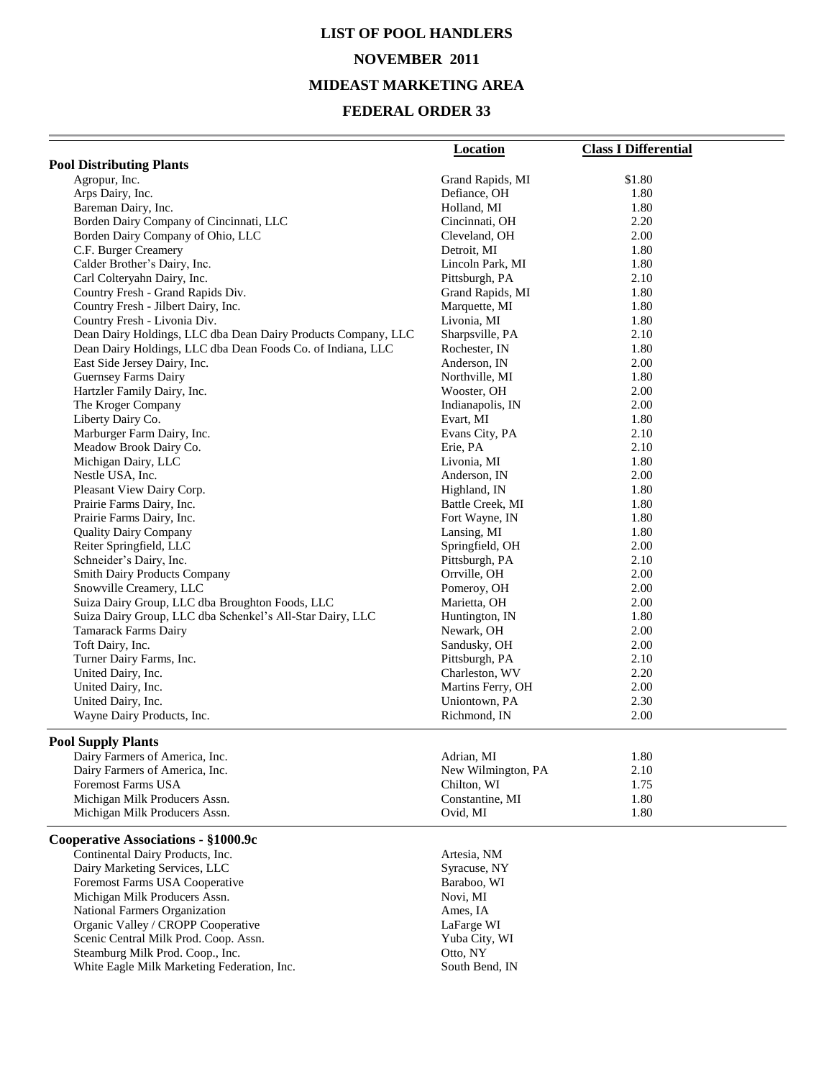# **LIST OF POOL HANDLERS NOVEMBER 2011 MIDEAST MARKETING AREA**

#### **FEDERAL ORDER 33**

|                                                                | <b>Location</b>             | <b>Class I Differential</b> |
|----------------------------------------------------------------|-----------------------------|-----------------------------|
| <b>Pool Distributing Plants</b>                                |                             |                             |
| Agropur, Inc.                                                  | Grand Rapids, MI            | \$1.80                      |
| Arps Dairy, Inc.                                               | Defiance, OH                | 1.80                        |
| Bareman Dairy, Inc.                                            | Holland, MI                 | 1.80                        |
| Borden Dairy Company of Cincinnati, LLC                        | Cincinnati, OH              | 2.20                        |
| Borden Dairy Company of Ohio, LLC                              | Cleveland, OH               | 2.00                        |
| C.F. Burger Creamery                                           | Detroit, MI                 | 1.80                        |
| Calder Brother's Dairy, Inc.                                   | Lincoln Park, MI            | 1.80                        |
| Carl Colteryahn Dairy, Inc.                                    | Pittsburgh, PA              | 2.10                        |
| Country Fresh - Grand Rapids Div.                              | Grand Rapids, MI            | 1.80                        |
| Country Fresh - Jilbert Dairy, Inc.                            | Marquette, MI               | 1.80                        |
| Country Fresh - Livonia Div.                                   | Livonia, MI                 | 1.80                        |
| Dean Dairy Holdings, LLC dba Dean Dairy Products Company, LLC  | Sharpsville, PA             | 2.10                        |
| Dean Dairy Holdings, LLC dba Dean Foods Co. of Indiana, LLC    | Rochester, IN               | 1.80                        |
| East Side Jersey Dairy, Inc.                                   | Anderson, IN                | 2.00                        |
| Guernsey Farms Dairy                                           | Northville, MI              | 1.80                        |
| Hartzler Family Dairy, Inc.                                    | Wooster, OH                 | 2.00                        |
| The Kroger Company                                             | Indianapolis, IN            | 2.00                        |
| Liberty Dairy Co.                                              | Evart, MI                   | 1.80                        |
| Marburger Farm Dairy, Inc.                                     | Evans City, PA              | 2.10                        |
| Meadow Brook Dairy Co.                                         | Erie, PA                    | 2.10                        |
| Michigan Dairy, LLC                                            | Livonia, MI                 | 1.80                        |
| Nestle USA, Inc.                                               | Anderson, IN                | 2.00                        |
| Pleasant View Dairy Corp.                                      | Highland, IN                | 1.80                        |
| Prairie Farms Dairy, Inc.                                      | Battle Creek, MI            | 1.80                        |
| Prairie Farms Dairy, Inc.                                      | Fort Wayne, IN              | 1.80                        |
| <b>Quality Dairy Company</b>                                   | Lansing, MI                 | 1.80                        |
| Reiter Springfield, LLC                                        | Springfield, OH             | 2.00<br>2.10                |
| Schneider's Dairy, Inc.                                        | Pittsburgh, PA              |                             |
| <b>Smith Dairy Products Company</b><br>Snowville Creamery, LLC | Orrville, OH                | 2.00<br>2.00                |
| Suiza Dairy Group, LLC dba Broughton Foods, LLC                | Pomeroy, OH<br>Marietta, OH | 2.00                        |
| Suiza Dairy Group, LLC dba Schenkel's All-Star Dairy, LLC      | Huntington, IN              | 1.80                        |
| Tamarack Farms Dairy                                           | Newark, OH                  | 2.00                        |
| Toft Dairy, Inc.                                               | Sandusky, OH                | 2.00                        |
| Turner Dairy Farms, Inc.                                       | Pittsburgh, PA              | 2.10                        |
| United Dairy, Inc.                                             | Charleston, WV              | 2.20                        |
| United Dairy, Inc.                                             | Martins Ferry, OH           | 2.00                        |
| United Dairy, Inc.                                             | Uniontown, PA               | 2.30                        |
| Wayne Dairy Products, Inc.                                     | Richmond, IN                | 2.00                        |
|                                                                |                             |                             |
| <b>Pool Supply Plants</b>                                      |                             |                             |
| Dairy Farmers of America, Inc.                                 | Adrian, MI                  | 1.80                        |
| Dairy Farmers of America, Inc.                                 | New Wilmington, PA          | 2.10                        |
| <b>Foremost Farms USA</b>                                      | Chilton, WI                 | 1.75                        |
| Michigan Milk Producers Assn.                                  | Constantine, MI             | 1.80                        |
| Michigan Milk Producers Assn.                                  | Ovid, MI                    | 1.80                        |
| Cooperative Associations - §1000.9c                            |                             |                             |
| Continental Dairy Products, Inc.                               | Artesia, NM                 |                             |
| Dairy Marketing Services, LLC                                  | Syracuse, NY                |                             |
| Foremost Farms USA Cooperative                                 | Baraboo, WI                 |                             |
| Michigan Milk Producers Assn.                                  | Novi, MI                    |                             |
| National Farmers Organization                                  | Ames, IA                    |                             |
| Organic Valley / CROPP Cooperative                             | LaFarge WI                  |                             |
| Scenic Central Milk Prod. Coop. Assn.                          | Yuba City, WI               |                             |
| Steamburg Milk Prod. Coop., Inc.                               | Otto, NY                    |                             |
| White Eagle Milk Marketing Federation, Inc.                    | South Bend, IN              |                             |
|                                                                |                             |                             |